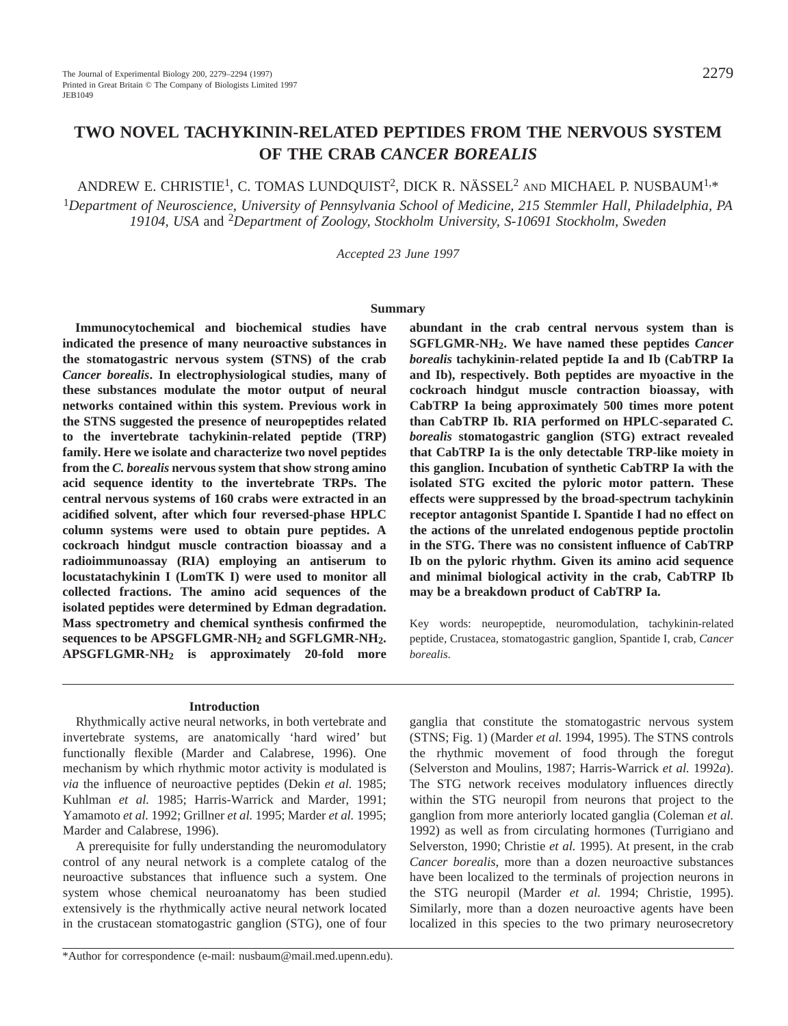# **TWO NOVEL TACHYKININ-RELATED PEPTIDES FROM THE NERVOUS SYSTEM OF THE CRAB** *CANCER BOREALIS*

ANDREW E. CHRISTIE1, C. TOMAS LUNDQUIST2, DICK R. NÄSSEL2 AND MICHAEL P. NUSBAUM1,\*

<sup>1</sup>*Department of Neuroscience, University of Pennsylvania School of Medicine, 215 Stemmler Hall, Philadelphia, PA 19104, USA* and 2*Department of Zoology, Stockholm University, S-10691 Stockholm, Sweden*

*Accepted 23 June 1997*

#### **Summary**

**Immunocytochemical and biochemical studies have indicated the presence of many neuroactive substances in the stomatogastric nervous system (STNS) of the crab** *Cancer borealis***. In electrophysiological studies, many of these substances modulate the motor output of neural networks contained within this system. Previous work in the STNS suggested the presence of neuropeptides related to the invertebrate tachykinin-related peptide (TRP) family. Here we isolate and characterize two novel peptides from the** *C. borealis* **nervous system that show strong amino acid sequence identity to the invertebrate TRPs. The central nervous systems of 160 crabs were extracted in an acidified solvent, after which four reversed-phase HPLC column systems were used to obtain pure peptides. A cockroach hindgut muscle contraction bioassay and a radioimmunoassay (RIA) employing an antiserum to locustatachykinin I (LomTK I) were used to monitor all collected fractions. The amino acid sequences of the isolated peptides were determined by Edman degradation. Mass spectrometry and chemical synthesis confirmed the sequences to be APSGFLGMR-NH2 and SGFLGMR-NH2. APSGFLGMR-NH2 is approximately 20-fold more**

**abundant in the crab central nervous system than is SGFLGMR-NH2. We have named these peptides** *Cancer borealis* **tachykinin-related peptide Ia and Ib (CabTRP Ia and Ib), respectively. Both peptides are myoactive in the cockroach hindgut muscle contraction bioassay, with CabTRP Ia being approximately 500 times more potent than CabTRP Ib. RIA performed on HPLC-separated** *C. borealis* **stomatogastric ganglion (STG) extract revealed that CabTRP Ia is the only detectable TRP-like moiety in this ganglion. Incubation of synthetic CabTRP Ia with the isolated STG excited the pyloric motor pattern. These effects were suppressed by the broad-spectrum tachykinin receptor antagonist Spantide I. Spantide I had no effect on the actions of the unrelated endogenous peptide proctolin in the STG. There was no consistent influence of CabTRP Ib on the pyloric rhythm. Given its amino acid sequence and minimal biological activity in the crab, CabTRP Ib may be a breakdown product of CabTRP Ia.**

Key words: neuropeptide, neuromodulation, tachykinin-related peptide, Crustacea, stomatogastric ganglion, Spantide I, crab, *Cancer borealis*.

#### **Introduction**

Rhythmically active neural networks, in both vertebrate and invertebrate systems, are anatomically 'hard wired' but functionally flexible (Marder and Calabrese, 1996). One mechanism by which rhythmic motor activity is modulated is *via* the influence of neuroactive peptides (Dekin *et al.* 1985; Kuhlman *et al.* 1985; Harris-Warrick and Marder, 1991; Yamamoto *et al.* 1992; Grillner *et al.* 1995; Marder *et al.* 1995; Marder and Calabrese, 1996).

A prerequisite for fully understanding the neuromodulatory control of any neural network is a complete catalog of the neuroactive substances that influence such a system. One system whose chemical neuroanatomy has been studied extensively is the rhythmically active neural network located in the crustacean stomatogastric ganglion (STG), one of four

ganglia that constitute the stomatogastric nervous system (STNS; Fig. 1) (Marder *et al.* 1994, 1995). The STNS controls the rhythmic movement of food through the foregut (Selverston and Moulins, 1987; Harris-Warrick *et al.* 1992*a*). The STG network receives modulatory influences directly within the STG neuropil from neurons that project to the ganglion from more anteriorly located ganglia (Coleman *et al.* 1992) as well as from circulating hormones (Turrigiano and Selverston, 1990; Christie *et al.* 1995). At present, in the crab *Cancer borealis*, more than a dozen neuroactive substances have been localized to the terminals of projection neurons in the STG neuropil (Marder *et al.* 1994; Christie, 1995). Similarly, more than a dozen neuroactive agents have been localized in this species to the two primary neurosecretory

<sup>\*</sup>Author for correspondence (e-mail: nusbaum@mail.med.upenn.edu).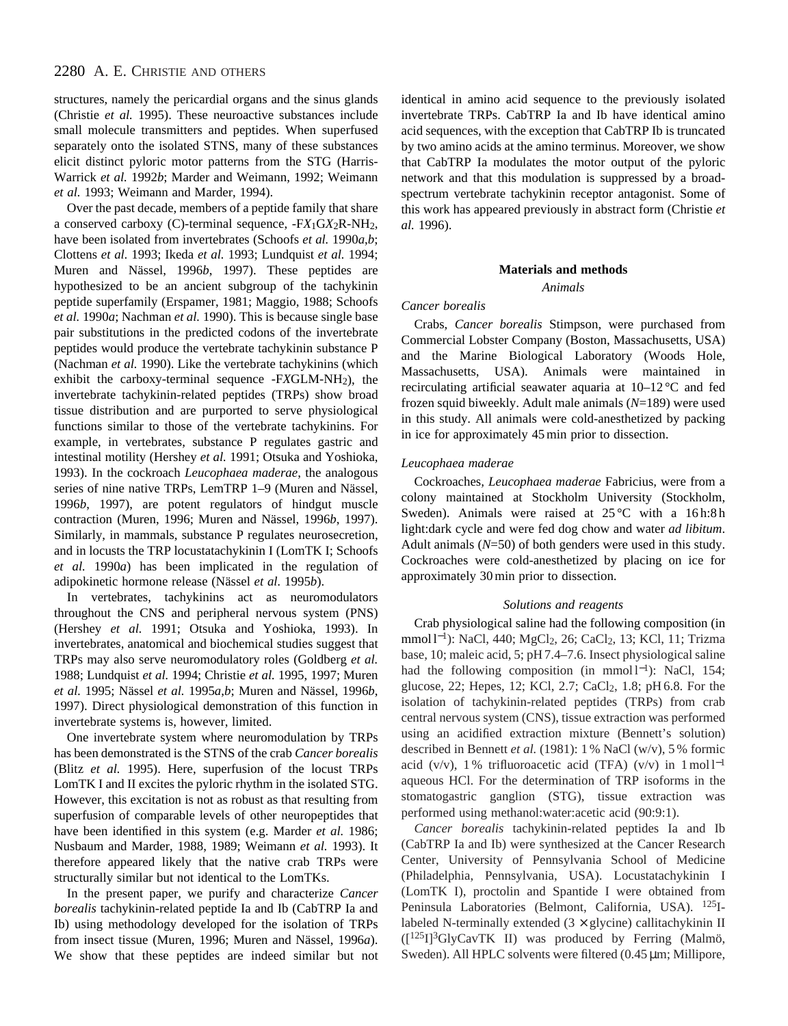structures, namely the pericardial organs and the sinus glands (Christie *et al.* 1995). These neuroactive substances include small molecule transmitters and peptides. When superfused separately onto the isolated STNS, many of these substances elicit distinct pyloric motor patterns from the STG (Harris-Warrick *et al.* 1992*b*; Marder and Weimann, 1992; Weimann *et al.* 1993; Weimann and Marder, 1994).

Over the past decade, members of a peptide family that share a conserved carboxy (C)-terminal sequence, -F*X*1G*X*2R-NH2, have been isolated from invertebrates (Schoofs *et al.* 1990*a*,*b*; Clottens *et al.* 1993; Ikeda *et al.* 1993; Lundquist *et al.* 1994; Muren and Nässel, 1996*b*, 1997). These peptides are hypothesized to be an ancient subgroup of the tachykinin peptide superfamily (Erspamer, 1981; Maggio, 1988; Schoofs *et al.* 1990*a*; Nachman *et al.* 1990). This is because single base pair substitutions in the predicted codons of the invertebrate peptides would produce the vertebrate tachykinin substance P (Nachman *et al.* 1990). Like the vertebrate tachykinins (which exhibit the carboxy-terminal sequence -F*X*GLM-NH2), the invertebrate tachykinin-related peptides (TRPs) show broad tissue distribution and are purported to serve physiological functions similar to those of the vertebrate tachykinins. For example, in vertebrates, substance P regulates gastric and intestinal motility (Hershey *et al.* 1991; Otsuka and Yoshioka, 1993). In the cockroach *Leucophaea maderae*, the analogous series of nine native TRPs, LemTRP 1–9 (Muren and Nässel, 1996*b*, 1997), are potent regulators of hindgut muscle contraction (Muren, 1996; Muren and Nässel, 1996*b*, 1997). Similarly, in mammals, substance P regulates neurosecretion, and in locusts the TRP locustatachykinin I (LomTK I; Schoofs *et al.* 1990*a*) has been implicated in the regulation of adipokinetic hormone release (Nässel *et al.* 1995*b*).

In vertebrates, tachykinins act as neuromodulators throughout the CNS and peripheral nervous system (PNS) (Hershey *et al.* 1991; Otsuka and Yoshioka, 1993). In invertebrates, anatomical and biochemical studies suggest that TRPs may also serve neuromodulatory roles (Goldberg *et al.* 1988; Lundquist *et al.* 1994; Christie *et al.* 1995, 1997; Muren *et al.* 1995; Nässel *et al.* 1995*a*,*b*; Muren and Nässel, 1996*b*, 1997). Direct physiological demonstration of this function in invertebrate systems is, however, limited.

One invertebrate system where neuromodulation by TRPs has been demonstrated is the STNS of the crab *Cancer borealis* (Blitz *et al.* 1995). Here, superfusion of the locust TRPs LomTK I and II excites the pyloric rhythm in the isolated STG. However, this excitation is not as robust as that resulting from superfusion of comparable levels of other neuropeptides that have been identified in this system (e.g. Marder *et al.* 1986; Nusbaum and Marder, 1988, 1989; Weimann *et al.* 1993). It therefore appeared likely that the native crab TRPs were structurally similar but not identical to the LomTKs.

In the present paper, we purify and characterize *Cancer borealis* tachykinin-related peptide Ia and Ib (CabTRP Ia and Ib) using methodology developed for the isolation of TRPs from insect tissue (Muren, 1996; Muren and Nässel, 1996*a*). We show that these peptides are indeed similar but not identical in amino acid sequence to the previously isolated invertebrate TRPs. CabTRP Ia and Ib have identical amino acid sequences, with the exception that CabTRP Ib is truncated by two amino acids at the amino terminus. Moreover, we show that CabTRP Ia modulates the motor output of the pyloric network and that this modulation is suppressed by a broadspectrum vertebrate tachykinin receptor antagonist. Some of this work has appeared previously in abstract form (Christie *et al.* 1996).

#### **Materials and methods**

*Animals*

#### *Cancer borealis*

Crabs, *Cancer borealis* Stimpson, were purchased from Commercial Lobster Company (Boston, Massachusetts, USA) and the Marine Biological Laboratory (Woods Hole, Massachusetts, USA). Animals were maintained in recirculating artificial seawater aquaria at 10–12 °C and fed frozen squid biweekly. Adult male animals (*N*=189) were used in this study. All animals were cold-anesthetized by packing in ice for approximately 45min prior to dissection.

#### *Leucophaea maderae*

Cockroaches*, Leucophaea maderae* Fabricius*,* were from a colony maintained at Stockholm University (Stockholm, Sweden). Animals were raised at 25 °C with a 16 h:8 h light:dark cycle and were fed dog chow and water *ad libitum*. Adult animals (*N*=50) of both genders were used in this study. Cockroaches were cold-anesthetized by placing on ice for approximately 30min prior to dissection.

#### *Solutions and reagents*

Crab physiological saline had the following composition (in mmol l<sup>-1</sup>): NaCl, 440; MgCl<sub>2</sub>, 26; CaCl<sub>2</sub>, 13; KCl, 11; Trizma base, 10; maleic acid, 5; pH 7.4–7.6. Insect physiological saline had the following composition (in mmol $l^{-1}$ ): NaCl, 154; glucose, 22; Hepes, 12; KCl, 2.7; CaCl2, 1.8; pH 6.8. For the isolation of tachykinin-related peptides (TRPs) from crab central nervous system (CNS), tissue extraction was performed using an acidified extraction mixture (Bennett's solution) described in Bennett *et al.* (1981): 1 % NaCl (w/v), 5 % formic acid (v/v), 1% trifluoroacetic acid (TFA) (v/v) in  $1 \text{ mol} l^{-1}$ aqueous HCl. For the determination of TRP isoforms in the stomatogastric ganglion (STG), tissue extraction was performed using methanol:water:acetic acid (90:9:1).

*Cancer borealis* tachykinin-related peptides Ia and Ib (CabTRP Ia and Ib) were synthesized at the Cancer Research Center, University of Pennsylvania School of Medicine (Philadelphia, Pennsylvania, USA). Locustatachykinin I (LomTK I), proctolin and Spantide I were obtained from Peninsula Laboratories (Belmont, California, USA). 125Ilabeled N-terminally extended  $(3 \times$  glycine) callitachykinin II ([125I]3GlyCavTK II) was produced by Ferring (Malmö, Sweden). All HPLC solvents were filtered (0.45 µm; Millipore,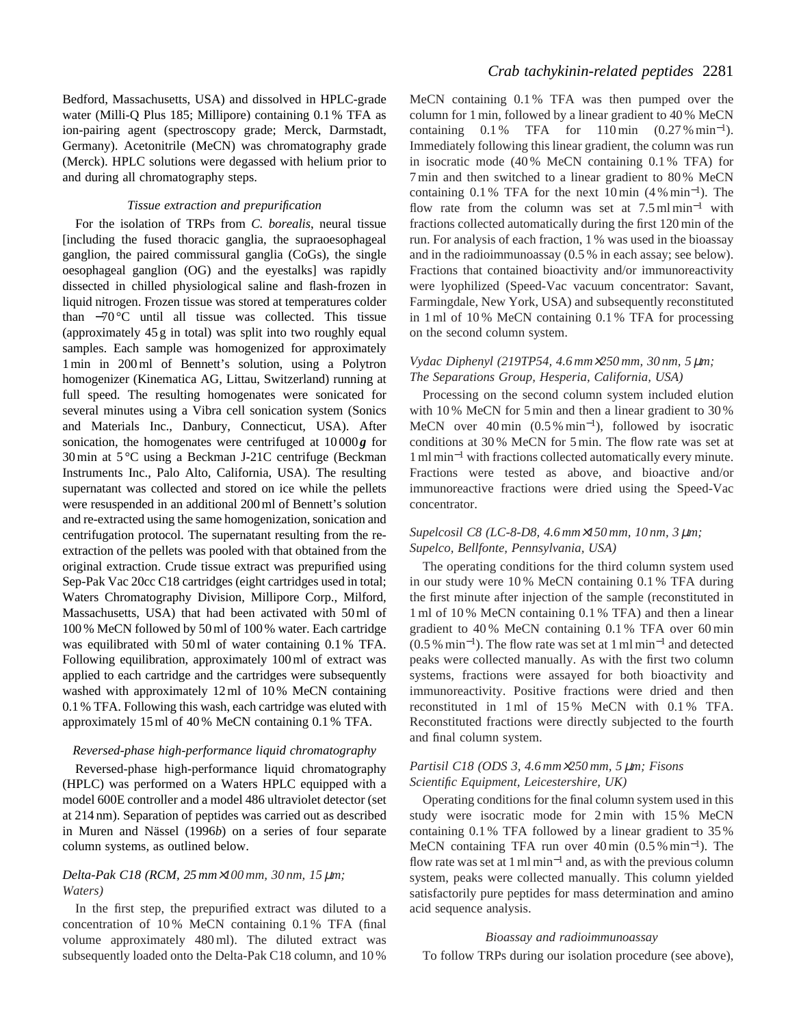Bedford, Massachusetts, USA) and dissolved in HPLC-grade water (Milli-Q Plus 185; Millipore) containing 0.1 % TFA as ion-pairing agent (spectroscopy grade; Merck, Darmstadt, Germany). Acetonitrile (MeCN) was chromatography grade (Merck). HPLC solutions were degassed with helium prior to and during all chromatography steps.

### *Tissue extraction and prepurification*

For the isolation of TRPs from *C. borealis*, neural tissue [including the fused thoracic ganglia, the supraoesophageal ganglion, the paired commissural ganglia (CoGs), the single oesophageal ganglion (OG) and the eyestalks] was rapidly dissected in chilled physiological saline and flash-frozen in liquid nitrogen. Frozen tissue was stored at temperatures colder than −70 °C until all tissue was collected. This tissue (approximately 45 g in total) was split into two roughly equal samples. Each sample was homogenized for approximately 1min in 200ml of Bennett's solution, using a Polytron homogenizer (Kinematica AG, Littau, Switzerland) running at full speed. The resulting homogenates were sonicated for several minutes using a Vibra cell sonication system (Sonics and Materials Inc., Danbury, Connecticut, USA). After sonication, the homogenates were centrifuged at  $10000g$  for 30min at 5 °C using a Beckman J-21C centrifuge (Beckman Instruments Inc., Palo Alto, California, USA). The resulting supernatant was collected and stored on ice while the pellets were resuspended in an additional 200ml of Bennett's solution and re-extracted using the same homogenization, sonication and centrifugation protocol. The supernatant resulting from the reextraction of the pellets was pooled with that obtained from the original extraction. Crude tissue extract was prepurified using Sep-Pak Vac 20cc C18 cartridges (eight cartridges used in total; Waters Chromatography Division, Millipore Corp., Milford, Massachusetts, USA) that had been activated with 50ml of 100 % MeCN followed by 50ml of 100 % water. Each cartridge was equilibrated with 50ml of water containing 0.1 % TFA. Following equilibration, approximately 100ml of extract was applied to each cartridge and the cartridges were subsequently washed with approximately 12ml of 10% MeCN containing 0.1 % TFA. Following this wash, each cartridge was eluted with approximately 15ml of 40 % MeCN containing 0.1 % TFA.

# *Reversed-phase high-performance liquid chromatography*

Reversed-phase high-performance liquid chromatography (HPLC) was performed on a Waters HPLC equipped with a model 600E controller and a model 486 ultraviolet detector (set at 214 nm). Separation of peptides was carried out as described in Muren and Nässel (1996*b*) on a series of four separate column systems, as outlined below.

### *Delta-Pak C18 (RCM, 25 mm*×*100 mm, 30 nm, 15* µ*m; Waters)*

In the first step, the prepurified extract was diluted to a concentration of 10 % MeCN containing 0.1 % TFA (final volume approximately 480ml). The diluted extract was subsequently loaded onto the Delta-Pak C18 column, and 10 %

MeCN containing 0.1 % TFA was then pumped over the column for 1min, followed by a linear gradient to 40 % MeCN containing  $0.1\%$  TFA for  $110 \text{ min}$   $(0.27\% \text{ min}^{-1})$ . Immediately following this linear gradient, the column was run in isocratic mode (40 % MeCN containing 0.1 % TFA) for 7min and then switched to a linear gradient to 80 % MeCN containing 0.1 % TFA for the next 10min (4 % min<sup>−</sup>1). The flow rate from the column was set at  $7.5 \text{ ml min}^{-1}$  with fractions collected automatically during the first 120min of the run. For analysis of each fraction, 1 % was used in the bioassay and in the radioimmunoassay (0.5 % in each assay; see below). Fractions that contained bioactivity and/or immunoreactivity were lyophilized (Speed-Vac vacuum concentrator: Savant, Farmingdale, New York, USA) and subsequently reconstituted in 1ml of 10 % MeCN containing 0.1 % TFA for processing on the second column system.

### *Vydac Diphenyl (219TP54, 4.6 mm*×*250 mm, 30 nm, 5* µ*m; The Separations Group, Hesperia, California, USA)*

Processing on the second column system included elution with 10 % MeCN for 5min and then a linear gradient to 30 % MeCN over 40min (0.5 % min<sup>−</sup>1), followed by isocratic conditions at 30 % MeCN for 5min. The flow rate was set at 1mlmin−<sup>1</sup> with fractions collected automatically every minute. Fractions were tested as above, and bioactive and/or immunoreactive fractions were dried using the Speed-Vac concentrator.

# *Supelcosil C8 (LC-8-D8, 4.6 mm*×*150 mm, 10 nm, 3* µ*m; Supelco, Bellfonte, Pennsylvania, USA)*

The operating conditions for the third column system used in our study were 10 % MeCN containing 0.1 % TFA during the first minute after injection of the sample (reconstituted in 1 ml of 10 % MeCN containing 0.1 % TFA) and then a linear gradient to 40 % MeCN containing 0.1 % TFA over 60 min (0.5 % min<sup>−</sup>1). The flow rate was set at 1 ml min−<sup>1</sup> and detected peaks were collected manually. As with the first two column systems, fractions were assayed for both bioactivity and immunoreactivity. Positive fractions were dried and then reconstituted in 1 ml of 15 % MeCN with 0.1 % TFA. Reconstituted fractions were directly subjected to the fourth and final column system.

# *Partisil C18 (ODS 3, 4.6 mm*×*250 mm, 5* µ*m; Fisons Scientific Equipment, Leicestershire, UK)*

Operating conditions for the final column system used in this study were isocratic mode for 2min with 15 % MeCN containing 0.1 % TFA followed by a linear gradient to 35 % MeCN containing TFA run over 40min (0.5 % min<sup>−</sup>1). The flow rate was set at  $1 \text{ ml min}^{-1}$  and, as with the previous column system, peaks were collected manually. This column yielded satisfactorily pure peptides for mass determination and amino acid sequence analysis.

### *Bioassay and radioimmunoassay*

To follow TRPs during our isolation procedure (see above),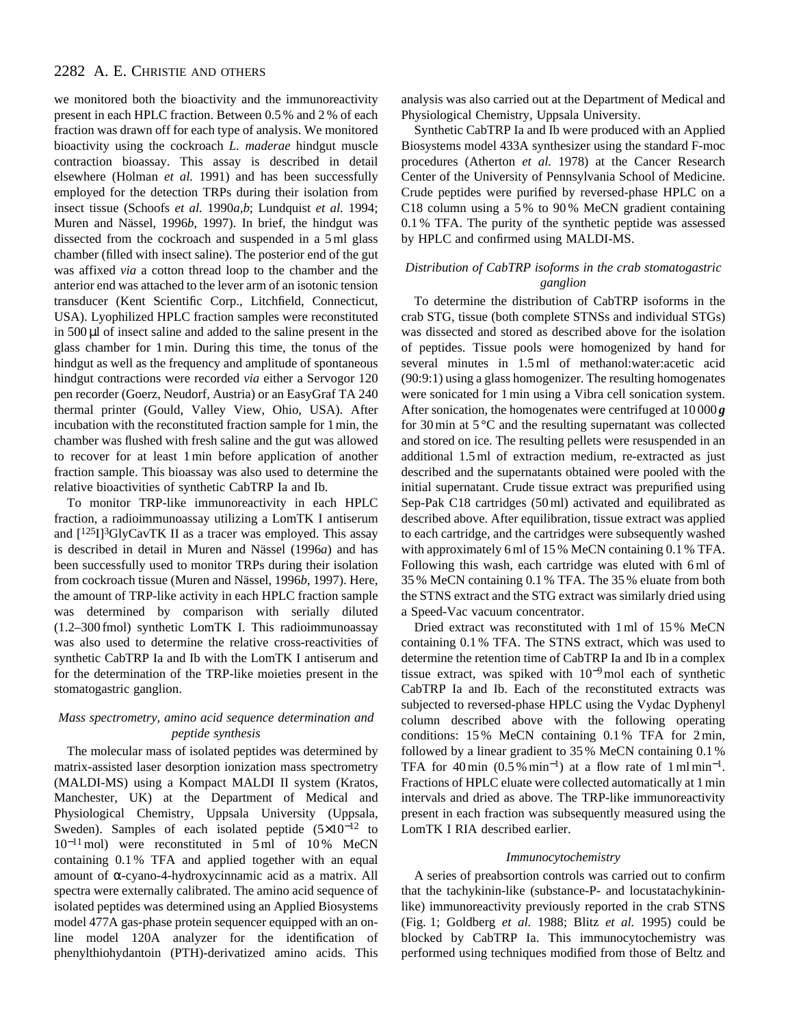we monitored both the bioactivity and the immunoreactivity present in each HPLC fraction. Between 0.5 % and 2 % of each fraction was drawn off for each type of analysis. We monitored bioactivity using the cockroach *L. maderae* hindgut muscle contraction bioassay. This assay is described in detail elsewhere (Holman *et al.* 1991) and has been successfully employed for the detection TRPs during their isolation from insect tissue (Schoofs *et al.* 1990*a*,*b*; Lundquist *et al.* 1994; Muren and Nässel, 1996*b*, 1997). In brief, the hindgut was dissected from the cockroach and suspended in a 5ml glass chamber (filled with insect saline). The posterior end of the gut was affixed *via* a cotton thread loop to the chamber and the anterior end was attached to the lever arm of an isotonic tension transducer (Kent Scientific Corp., Litchfield, Connecticut, USA). Lyophilized HPLC fraction samples were reconstituted in 500 µl of insect saline and added to the saline present in the glass chamber for 1min. During this time, the tonus of the hindgut as well as the frequency and amplitude of spontaneous hindgut contractions were recorded *via* either a Servogor 120 pen recorder (Goerz, Neudorf, Austria) or an EasyGraf TA 240 thermal printer (Gould, Valley View, Ohio, USA). After incubation with the reconstituted fraction sample for 1min, the chamber was flushed with fresh saline and the gut was allowed to recover for at least 1min before application of another fraction sample. This bioassay was also used to determine the relative bioactivities of synthetic CabTRP Ia and Ib.

To monitor TRP-like immunoreactivity in each HPLC fraction, a radioimmunoassay utilizing a LomTK I antiserum and  $[125]$ <sup>3</sup>GlyCavTK II as a tracer was employed. This assay is described in detail in Muren and Nässel (1996*a*) and has been successfully used to monitor TRPs during their isolation from cockroach tissue (Muren and Nässel, 1996*b*, 1997). Here, the amount of TRP-like activity in each HPLC fraction sample was determined by comparison with serially diluted (1.2–300 fmol) synthetic LomTK I. This radioimmunoassay was also used to determine the relative cross-reactivities of synthetic CabTRP Ia and Ib with the LomTK I antiserum and for the determination of the TRP-like moieties present in the stomatogastric ganglion.

# *Mass spectrometry, amino acid sequence determination and peptide synthesis*

The molecular mass of isolated peptides was determined by matrix-assisted laser desorption ionization mass spectrometry (MALDI-MS) using a Kompact MALDI II system (Kratos, Manchester, UK) at the Department of Medical and Physiological Chemistry, Uppsala University (Uppsala, Sweden). Samples of each isolated peptide (5×10−<sup>12</sup> to 10<sup>−</sup>11mol) were reconstituted in 5ml of 10 % MeCN containing 0.1 % TFA and applied together with an equal amount of α-cyano-4-hydroxycinnamic acid as a matrix. All spectra were externally calibrated. The amino acid sequence of isolated peptides was determined using an Applied Biosystems model 477A gas-phase protein sequencer equipped with an online model 120A analyzer for the identification of phenylthiohydantoin (PTH)-derivatized amino acids. This

analysis was also carried out at the Department of Medical and Physiological Chemistry, Uppsala University.

Synthetic CabTRP Ia and Ib were produced with an Applied Biosystems model 433A synthesizer using the standard F-moc procedures (Atherton *et al.* 1978) at the Cancer Research Center of the University of Pennsylvania School of Medicine. Crude peptides were purified by reversed-phase HPLC on a C18 column using a 5 % to 90 % MeCN gradient containing 0.1 % TFA. The purity of the synthetic peptide was assessed by HPLC and confirmed using MALDI-MS.

### *Distribution of CabTRP isoforms in the crab stomatogastric ganglion*

To determine the distribution of CabTRP isoforms in the crab STG, tissue (both complete STNSs and individual STGs) was dissected and stored as described above for the isolation of peptides. Tissue pools were homogenized by hand for several minutes in 1.5ml of methanol:water:acetic acid (90:9:1) using a glass homogenizer. The resulting homogenates were sonicated for 1min using a Vibra cell sonication system. After sonication, the homogenates were centrifuged at 10 000 *g* for 30min at 5 °C and the resulting supernatant was collected and stored on ice. The resulting pellets were resuspended in an additional 1.5ml of extraction medium, re-extracted as just described and the supernatants obtained were pooled with the initial supernatant. Crude tissue extract was prepurified using Sep-Pak C18 cartridges (50ml) activated and equilibrated as described above. After equilibration, tissue extract was applied to each cartridge, and the cartridges were subsequently washed with approximately 6ml of 15 % MeCN containing 0.1 % TFA. Following this wash, each cartridge was eluted with 6ml of 35 % MeCN containing 0.1 % TFA. The 35 % eluate from both the STNS extract and the STG extract was similarly dried using a Speed-Vac vacuum concentrator.

Dried extract was reconstituted with 1ml of 15 % MeCN containing 0.1 % TFA. The STNS extract, which was used to determine the retention time of CabTRP Ia and Ib in a complex tissue extract, was spiked with 10<sup>−</sup>9mol each of synthetic CabTRP Ia and Ib. Each of the reconstituted extracts was subjected to reversed-phase HPLC using the Vydac Dyphenyl column described above with the following operating conditions: 15 % MeCN containing 0.1 % TFA for 2min, followed by a linear gradient to 35 % MeCN containing 0.1 % TFA for 40min  $(0.5\% \text{ min}^{-1})$  at a flow rate of 1mlmin<sup>-1</sup>. Fractions of HPLC eluate were collected automatically at 1min intervals and dried as above. The TRP-like immunoreactivity present in each fraction was subsequently measured using the LomTK I RIA described earlier.

#### *Immunocytochemistry*

A series of preabsortion controls was carried out to confirm that the tachykinin-like (substance-P- and locustatachykininlike) immunoreactivity previously reported in the crab STNS (Fig. 1; Goldberg *et al.* 1988; Blitz *et al.* 1995) could be blocked by CabTRP Ia. This immunocytochemistry was performed using techniques modified from those of Beltz and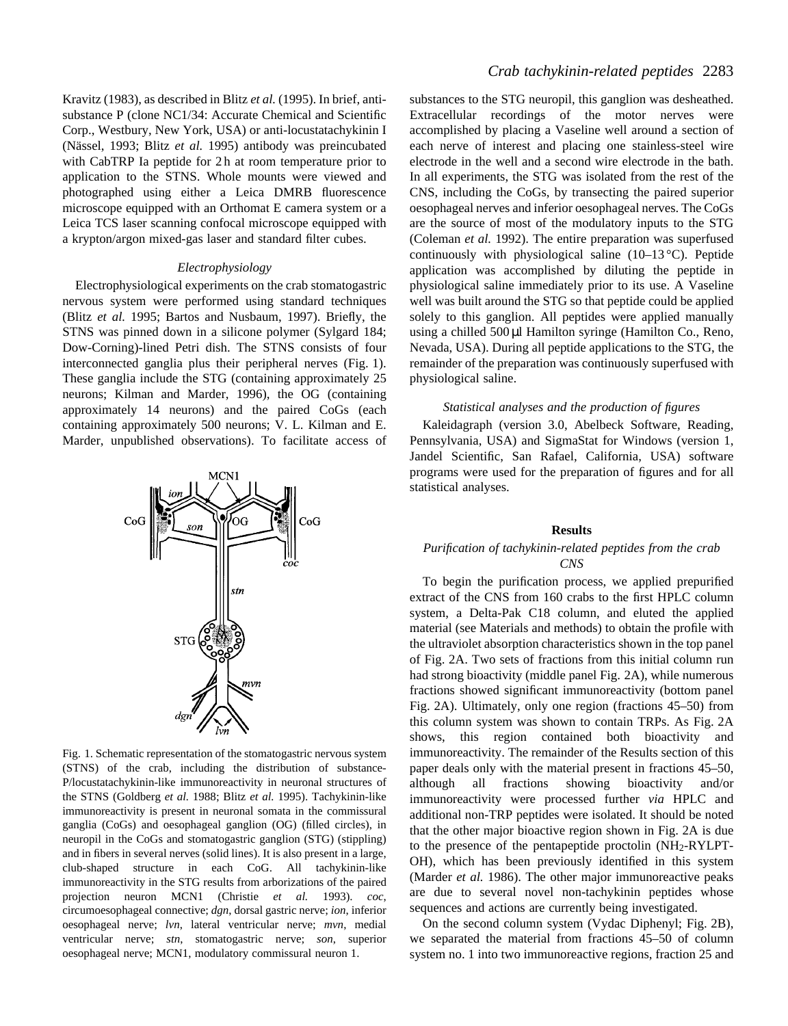Kravitz (1983), as described in Blitz *et al.* (1995). In brief, antisubstance P (clone NC1/34: Accurate Chemical and Scientific Corp., Westbury, New York, USA) or anti-locustatachykinin I (Nässel, 1993; Blitz *et al.* 1995) antibody was preincubated with CabTRP Ia peptide for 2h at room temperature prior to application to the STNS. Whole mounts were viewed and photographed using either a Leica DMRB fluorescence microscope equipped with an Orthomat E camera system or a Leica TCS laser scanning confocal microscope equipped with a krypton/argon mixed-gas laser and standard filter cubes.

### *Electrophysiology*

Electrophysiological experiments on the crab stomatogastric nervous system were performed using standard techniques (Blitz *et al.* 1995; Bartos and Nusbaum, 1997). Briefly, the STNS was pinned down in a silicone polymer (Sylgard 184; Dow-Corning)-lined Petri dish. The STNS consists of four interconnected ganglia plus their peripheral nerves (Fig. 1). These ganglia include the STG (containing approximately 25 neurons; Kilman and Marder, 1996), the OG (containing approximately 14 neurons) and the paired CoGs (each containing approximately 500 neurons; V. L. Kilman and E. Marder, unpublished observations). To facilitate access of



Fig. 1. Schematic representation of the stomatogastric nervous system (STNS) of the crab, including the distribution of substance-P/locustatachykinin-like immunoreactivity in neuronal structures of the STNS (Goldberg *et al.* 1988; Blitz *et al.* 1995). Tachykinin-like immunoreactivity is present in neuronal somata in the commissural ganglia (CoGs) and oesophageal ganglion (OG) (filled circles), in neuropil in the CoGs and stomatogastric ganglion (STG) (stippling) and in fibers in several nerves (solid lines). It is also present in a large, club-shaped structure in each CoG. All tachykinin-like immunoreactivity in the STG results from arborizations of the paired projection neuron MCN1 (Christie *et al.* 1993). *coc*, circumoesophageal connective; *dgn*, dorsal gastric nerve; *ion*, inferior oesophageal nerve; *lvn*, lateral ventricular nerve; *mvn*, medial ventricular nerve; *stn*, stomatogastric nerve; *son*, superior oesophageal nerve; MCN1, modulatory commissural neuron 1.

substances to the STG neuropil, this ganglion was desheathed. Extracellular recordings of the motor nerves were accomplished by placing a Vaseline well around a section of each nerve of interest and placing one stainless-steel wire electrode in the well and a second wire electrode in the bath. In all experiments, the STG was isolated from the rest of the CNS, including the CoGs, by transecting the paired superior oesophageal nerves and inferior oesophageal nerves. The CoGs are the source of most of the modulatory inputs to the STG (Coleman *et al.* 1992). The entire preparation was superfused continuously with physiological saline  $(10-13 \degree C)$ . Peptide application was accomplished by diluting the peptide in physiological saline immediately prior to its use. A Vaseline well was built around the STG so that peptide could be applied solely to this ganglion. All peptides were applied manually using a chilled 500 µl Hamilton syringe (Hamilton Co., Reno, Nevada, USA). During all peptide applications to the STG, the remainder of the preparation was continuously superfused with physiological saline.

### *Statistical analyses and the production of figures*

Kaleidagraph (version 3.0, Abelbeck Software, Reading, Pennsylvania, USA) and SigmaStat for Windows (version 1, Jandel Scientific, San Rafael, California, USA) software programs were used for the preparation of figures and for all statistical analyses.

#### **Results**

### *Purification of tachykinin-related peptides from the crab CNS*

To begin the purification process, we applied prepurified extract of the CNS from 160 crabs to the first HPLC column system, a Delta-Pak C18 column, and eluted the applied material (see Materials and methods) to obtain the profile with the ultraviolet absorption characteristics shown in the top panel of Fig. 2A. Two sets of fractions from this initial column run had strong bioactivity (middle panel Fig. 2A), while numerous fractions showed significant immunoreactivity (bottom panel Fig. 2A). Ultimately, only one region (fractions 45–50) from this column system was shown to contain TRPs. As Fig. 2A shows, this region contained both bioactivity and immunoreactivity. The remainder of the Results section of this paper deals only with the material present in fractions 45–50, although all fractions showing bioactivity and/or immunoreactivity were processed further *via* HPLC and additional non-TRP peptides were isolated. It should be noted that the other major bioactive region shown in Fig. 2A is due to the presence of the pentapeptide proctolin (NH2-RYLPT-OH), which has been previously identified in this system (Marder *et al.* 1986). The other major immunoreactive peaks are due to several novel non-tachykinin peptides whose sequences and actions are currently being investigated.

On the second column system (Vydac Diphenyl; Fig. 2B), we separated the material from fractions 45–50 of column system no. 1 into two immunoreactive regions, fraction 25 and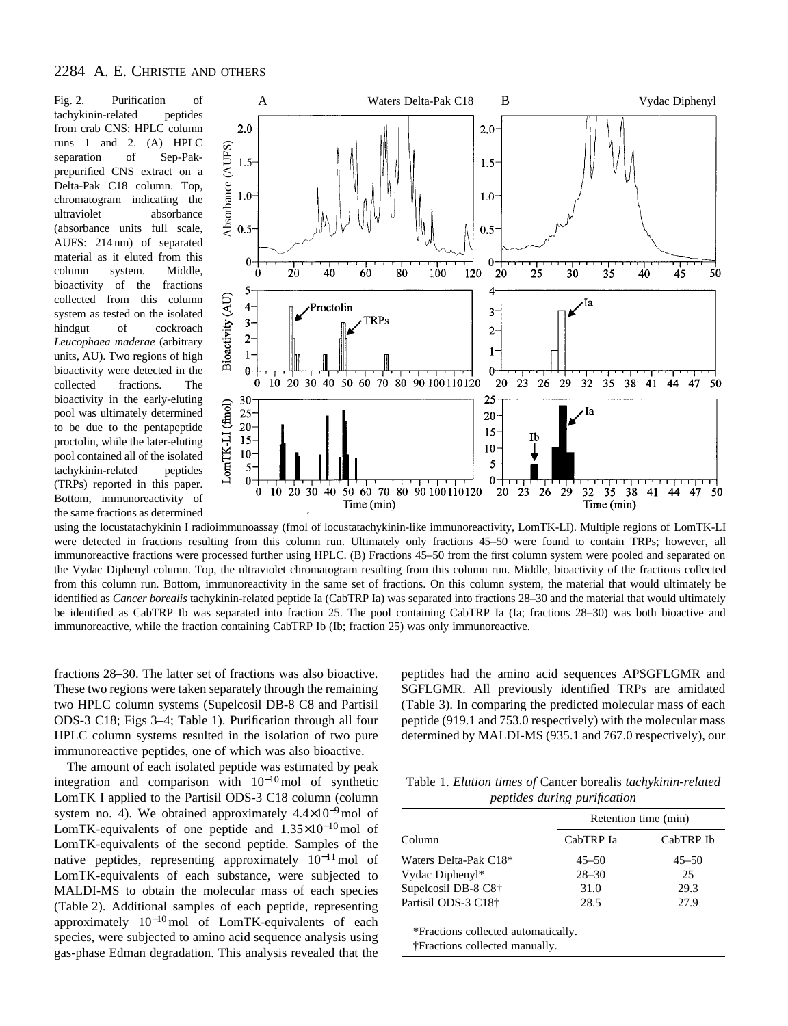tachykinin-related peptides from crab CNS: HPLC column runs 1 and 2. (A) HPLC separation of Sep-Pakprepurified CNS extract on a Delta-Pak C18 column. Top, chromatogram indicating the ultraviolet absorbance (absorbance units full scale, AUFS: 214 nm) of separated material as it eluted from this column system. Middle, bioactivity of the fractions collected from this column system as tested on the isolated hindgut of cockroach *Leucophaea maderae* (arbitrary units, AU). Two regions of high bioactivity were detected in the collected fractions. The bioactivity in the early-eluting pool was ultimately determined to be due to the pentapeptide proctolin, while the later-eluting pool contained all of the isolated tachykinin-related peptides (TRPs) reported in this paper. Bottom, immunoreactivity of the same fractions as determined



using the locustatachykinin I radioimmunoassay (fmol of locustatachykinin-like immunoreactivity, LomTK-LI). Multiple regions of LomTK-LI were detected in fractions resulting from this column run. Ultimately only fractions 45–50 were found to contain TRPs; however, all immunoreactive fractions were processed further using HPLC. (B) Fractions 45–50 from the first column system were pooled and separated on the Vydac Diphenyl column. Top, the ultraviolet chromatogram resulting from this column run. Middle, bioactivity of the fractions collected from this column run. Bottom, immunoreactivity in the same set of fractions. On this column system, the material that would ultimately be identified as *Cancer borealis* tachykinin-related peptide Ia (CabTRP Ia) was separated into fractions 28–30 and the material that would ultimately be identified as CabTRP Ib was separated into fraction 25. The pool containing CabTRP Ia (Ia; fractions 28–30) was both bioactive and immunoreactive, while the fraction containing CabTRP Ib (Ib; fraction 25) was only immunoreactive.

fractions 28–30. The latter set of fractions was also bioactive. These two regions were taken separately through the remaining two HPLC column systems (Supelcosil DB-8 C8 and Partisil ODS-3 C18; Figs 3–4; Table 1). Purification through all four HPLC column systems resulted in the isolation of two pure immunoreactive peptides, one of which was also bioactive.

The amount of each isolated peptide was estimated by peak integration and comparison with  $10^{-10}$  mol of synthetic LomTK I applied to the Partisil ODS-3 C18 column (column system no. 4). We obtained approximately  $4.4 \times 10^{-9}$  mol of LomTK-equivalents of one peptide and 1.35×10<sup>−</sup>10mol of LomTK-equivalents of the second peptide. Samples of the native peptides, representing approximately  $10^{-11}$  mol of LomTK-equivalents of each substance, were subjected to MALDI-MS to obtain the molecular mass of each species (Table 2). Additional samples of each peptide, representing approximately  $10^{-10}$  mol of LomTK-equivalents of each species, were subjected to amino acid sequence analysis using gas-phase Edman degradation. This analysis revealed that the

peptides had the amino acid sequences APSGFLGMR and SGFLGMR. All previously identified TRPs are amidated (Table 3). In comparing the predicted molecular mass of each peptide (919.1 and 753.0 respectively) with the molecular mass determined by MALDI-MS (935.1 and 767.0 respectively), our

Table 1. *Elution times of* Cancer borealis *tachykinin-related peptides during purification*

| Column                            | Retention time (min) |           |  |  |
|-----------------------------------|----------------------|-----------|--|--|
|                                   | CabTRP Ia            | CabTRP Ib |  |  |
| Waters Delta-Pak C18 <sup>*</sup> | $45 - 50$            | $45 - 50$ |  |  |
| Vydac Diphenyl*                   | $28 - 30$            | 25        |  |  |
| Supelcosil DB-8 C8 <sup>+</sup>   | 31.0                 | 29.3      |  |  |
| Partisil ODS-3 C18+               | 28.5                 | 27.9      |  |  |

\*Fractions collected automatically. †Fractions collected manually.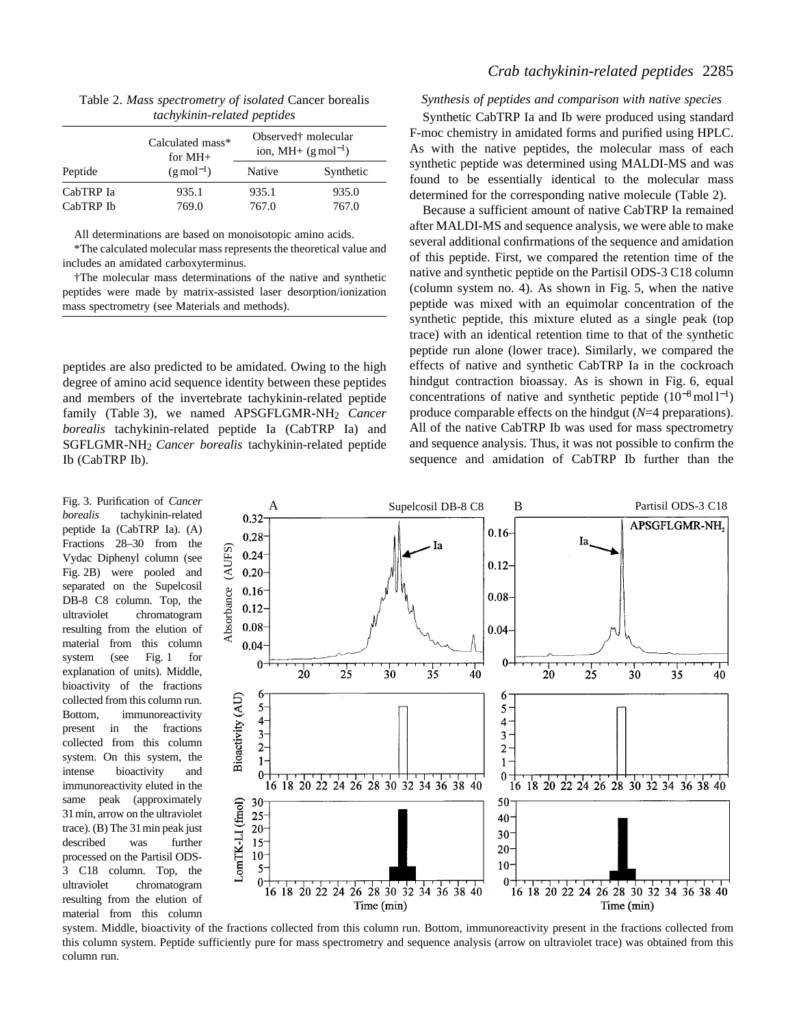| <i>lach manda related peptides</i> |                               |                                                                    |           |  |
|------------------------------------|-------------------------------|--------------------------------------------------------------------|-----------|--|
| Peptide                            | Calculated mass*<br>for $MH+$ | Observed <sup>†</sup> molecular<br>ion, MH+ $(g \text{ mol}^{-1})$ |           |  |
|                                    | $(g \text{ mol}^{-1})$        | Native                                                             | Synthetic |  |
| CabTRP Ia                          | 935.1                         | 935.1                                                              | 935.0     |  |
| CabTRP Ib                          | 769.0                         | 767.0                                                              | 767.0     |  |

Table 2. *Mass spectrometry of isolated* Cancer borealis *tachykinin-related peptides*

All determinations are based on monoisotopic amino acids.

\*The calculated molecular mass represents the theoretical value and includes an amidated carboxyterminus.

†The molecular mass determinations of the native and synthetic peptides were made by matrix-assisted laser desorption/ionization mass spectrometry (see Materials and methods).

peptides are also predicted to be amidated. Owing to the high degree of amino acid sequence identity between these peptides and members of the invertebrate tachykinin-related peptide family (Table 3), we named APSGFLGMR-NH<sub>2</sub> Cancer *borealis* tachykinin-related peptide Ia (CabTRP Ia) and SGFLGMR-NH2 *Cancer borealis* tachykinin-related peptide Ib (CabTRP Ib).

tachykinin-related peptide Ia (CabTRP Ia). (A) Fractions 28–30 from the Vydac Diphenyl column (see Fig. 2B) were pooled and separated on the Supelcosil DB-8 C8 column. Top, the ultraviolet chromatogram resulting from the elution of material from this column system (see Fig. 1 for explanation of units). Middle, bioactivity of the fractions collected from this column run. Bottom, immunoreactivity present in the fractions collected from this column system. On this system, the intense bioactivity and immunoreactivity eluted in the same peak (approximately 31min, arrow on the ultraviolet trace). (B) The 31min peak just described was further processed on the Partisil ODS-3 C18 column. Top, the ultraviolet chromatogram resulting from the elution of material from this column

# *Crab tachykinin-related peptides* 2285

*Synthesis of peptides and comparison with native species*

Synthetic CabTRP Ia and Ib were produced using standard F-moc chemistry in amidated forms and purified using HPLC. As with the native peptides, the molecular mass of each synthetic peptide was determined using MALDI-MS and was found to be essentially identical to the molecular mass determined for the corresponding native molecule (Table 2).

Because a sufficient amount of native CabTRP Ia remained after MALDI-MS and sequence analysis, we were able to make several additional confirmations of the sequence and amidation of this peptide. First, we compared the retention time of the native and synthetic peptide on the Partisil ODS-3 C18 column (column system no. 4). As shown in Fig. 5, when the native peptide was mixed with an equimolar concentration of the synthetic peptide, this mixture eluted as a single peak (top trace) with an identical retention time to that of the synthetic peptide run alone (lower trace). Similarly, we compared the effects of native and synthetic CabTRP Ia in the cockroach hindgut contraction bioassay. As is shown in Fig. 6, equal concentrations of native and synthetic peptide  $(10^{-8} \text{ mol } l^{-1})$ produce comparable effects on the hindgut (*N*=4 preparations). All of the native CabTRP Ib was used for mass spectrometry and sequence analysis. Thus, it was not possible to confirm the sequence and amidation of CabTRP Ib further than the



system. Middle, bioactivity of the fractions collected from this column run. Bottom, immunoreactivity present in the fractions collected from this column system. Peptide sufficiently pure for mass spectrometry and sequence analysis (arrow on ultraviolet trace) was obtained from this column run.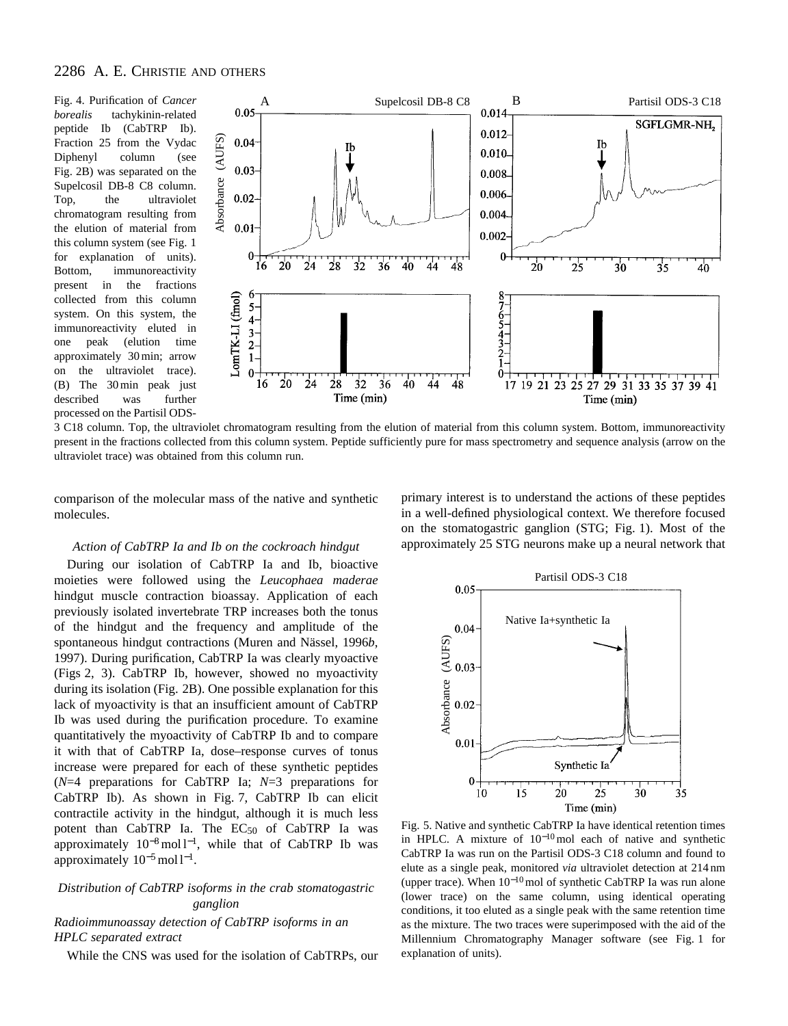*borealis* tachykinin-related peptide Ib (CabTRP Ib). Fraction 25 from the Vydac Diphenyl column (see Fig. 2B) was separated on the Supelcosil DB-8 C8 column. Top, the ultraviolet chromatogram resulting from the elution of material from this column system (see Fig. 1 for explanation of units). Bottom, immunoreactivity present in the fractions collected from this column system. On this system, the immunoreactivity eluted in one peak (elution time approximately 30min; arrow on the ultraviolet trace). (B) The 30min peak just described was further processed on the Partisil ODS-



3 C18 column. Top, the ultraviolet chromatogram resulting from the elution of material from this column system. Bottom, immunoreactivity present in the fractions collected from this column system. Peptide sufficiently pure for mass spectrometry and sequence analysis (arrow on the ultraviolet trace) was obtained from this column run.

comparison of the molecular mass of the native and synthetic molecules.

### *Action of CabTRP Ia and Ib on the cockroach hindgut*

During our isolation of CabTRP Ia and Ib, bioactive moieties were followed using the *Leucophaea maderae* hindgut muscle contraction bioassay. Application of each previously isolated invertebrate TRP increases both the tonus of the hindgut and the frequency and amplitude of the spontaneous hindgut contractions (Muren and Nässel, 1996*b*, 1997). During purification, CabTRP Ia was clearly myoactive (Figs 2, 3). CabTRP Ib, however, showed no myoactivity during its isolation (Fig. 2B). One possible explanation for this lack of myoactivity is that an insufficient amount of CabTRP Ib was used during the purification procedure. To examine quantitatively the myoactivity of CabTRP Ib and to compare it with that of CabTRP Ia, dose–response curves of tonus increase were prepared for each of these synthetic peptides (*N*=4 preparations for CabTRP Ia; *N*=3 preparations for CabTRP Ib). As shown in Fig. 7, CabTRP Ib can elicit contractile activity in the hindgut, although it is much less potent than  $CabTRP$  Ia. The  $EC_{50}$  of  $CabTRP$  Ia was approximately 10<sup>-8</sup> mol l<sup>-1</sup>, while that of CabTRP Ib was approximately  $10^{-5}$  mol  $1^{-1}$ .

# *Distribution of CabTRP isoforms in the crab stomatogastric ganglion*

### *Radioimmunoassay detection of CabTRP isoforms in an HPLC separated extract*

While the CNS was used for the isolation of CabTRPs, our

primary interest is to understand the actions of these peptides in a well-defined physiological context. We therefore focused on the stomatogastric ganglion (STG; Fig. 1). Most of the approximately 25 STG neurons make up a neural network that



Fig. 5. Native and synthetic CabTRP Ia have identical retention times in HPLC. A mixture of 10<sup>−</sup>10mol each of native and synthetic CabTRP Ia was run on the Partisil ODS-3 C18 column and found to elute as a single peak, monitored *via* ultraviolet detection at 214 nm (upper trace). When 10<sup>−</sup>10mol of synthetic CabTRP Ia was run alone (lower trace) on the same column, using identical operating conditions, it too eluted as a single peak with the same retention time as the mixture. The two traces were superimposed with the aid of the Millennium Chromatography Manager software (see Fig. 1 for explanation of units).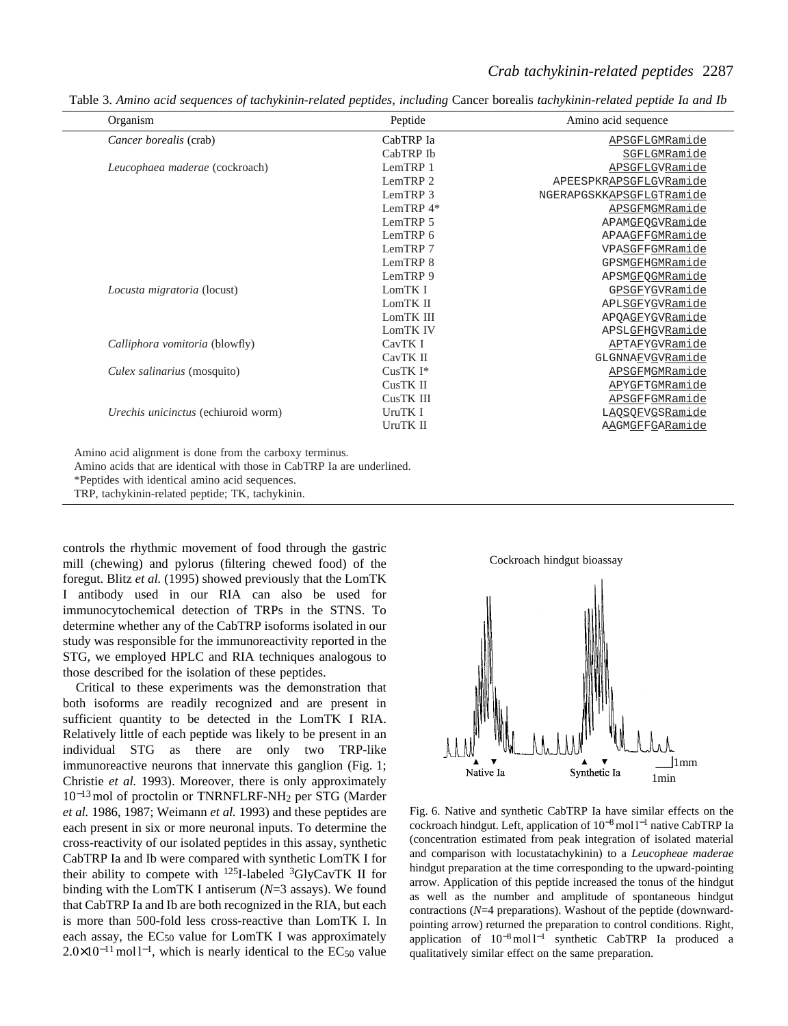# *Crab tachykinin-related peptides* 2287

Table 3. *Amino acid sequences of tachykinin-related peptides, including* Cancer borealis *tachykinin-related peptide Ia and Ib*

| Organism                                                                                                                          | Peptide     | Amino acid sequence      |
|-----------------------------------------------------------------------------------------------------------------------------------|-------------|--------------------------|
| Cancer borealis (crab)                                                                                                            | CabTRP Ia   | APSGFLGMRamide           |
|                                                                                                                                   | CabTRP Ib   | SGFLGMRamide             |
| Leucophaea maderae (cockroach)                                                                                                    | LemTRP 1    | APSGFLGVRamide           |
|                                                                                                                                   | LemTRP 2    | APEESPKRAPSGFLGVRamide   |
|                                                                                                                                   | LemTRP 3    | NGERAPGSKKAPSGFLGTRamide |
|                                                                                                                                   | LemTRP $4*$ | APSGFMGMRamide           |
|                                                                                                                                   | LemTRP 5    | APAMGFQGVRamide          |
|                                                                                                                                   | LemTRP 6    | APAAGFFGMRamide          |
|                                                                                                                                   | LemTRP 7    | VPASGFFGMRamide          |
|                                                                                                                                   | LemTRP 8    | GPSMGFHGMRamide          |
|                                                                                                                                   | LemTRP 9    | APSMGFQGMRamide          |
| Locusta migratoria (locust)                                                                                                       | LomTK I     | GPSGFYGVRamide           |
|                                                                                                                                   | LomTK II    | APLSGFYGVRamide          |
|                                                                                                                                   | LomTK III   | APQAGFYGVRamide          |
|                                                                                                                                   | LomTK IV    | APSLGFHGVRamide          |
| Calliphora vomitoria (blowfly)                                                                                                    | CavTK I     | APTAFYGVRamide           |
|                                                                                                                                   | CavTK II    | GLGNNAFVGVRamide         |
| Culex salinarius (mosquito)                                                                                                       | CusTK I*    | APSGFMGMRamide           |
|                                                                                                                                   | CusTK II    | APYGFTGMRamide           |
|                                                                                                                                   | CusTK III   | APSGFFGMRamide           |
| Urechis unicinctus (echiuroid worm)                                                                                               | UruTK I     | LAQSQFVGSRamide          |
|                                                                                                                                   | UruTK II    | AAGMGFFGARamide          |
| Amino acid alignment is done from the carboxy terminus.<br>Amino acids that are identical with those in CabTRP Ia are underlined. |             |                          |

\*Peptides with identical amino acid sequences.

TRP, tachykinin-related peptide; TK, tachykinin.

controls the rhythmic movement of food through the gastric mill (chewing) and pylorus (filtering chewed food) of the foregut. Blitz *et al.* (1995) showed previously that the LomTK I antibody used in our RIA can also be used for immunocytochemical detection of TRPs in the STNS. To determine whether any of the CabTRP isoforms isolated in our study was responsible for the immunoreactivity reported in the STG, we employed HPLC and RIA techniques analogous to those described for the isolation of these peptides.

Critical to these experiments was the demonstration that both isoforms are readily recognized and are present in sufficient quantity to be detected in the LomTK I RIA. Relatively little of each peptide was likely to be present in an individual STG as there are only two TRP-like immunoreactive neurons that innervate this ganglion (Fig. 1; Christie *et al.* 1993). Moreover, there is only approximately 10<sup>−</sup>13mol of proctolin or TNRNFLRF-NH2 per STG (Marder *et al.* 1986, 1987; Weimann *et al.* 1993) and these peptides are each present in six or more neuronal inputs. To determine the cross-reactivity of our isolated peptides in this assay, synthetic CabTRP Ia and Ib were compared with synthetic LomTK I for their ability to compete with  $^{125}$ I-labeled  $^{3}$ GlyCavTK II for binding with the LomTK I antiserum (*N*=3 assays). We found that CabTRP Ia and Ib are both recognized in the RIA, but each is more than 500-fold less cross-reactive than LomTK I. In each assay, the  $EC_{50}$  value for LomTK I was approximately  $2.0 \times 10^{-11}$  mol l<sup>-1</sup>, which is nearly identical to the EC<sub>50</sub> value



Fig. 6. Native and synthetic CabTRP Ia have similar effects on the cockroach hindgut. Left, application of 10<sup>-8</sup> mol l<sup>-1</sup> native CabTRP Ia (concentration estimated from peak integration of isolated material and comparison with locustatachykinin) to a *Leucopheae maderae* hindgut preparation at the time corresponding to the upward-pointing arrow. Application of this peptide increased the tonus of the hindgut as well as the number and amplitude of spontaneous hindgut contractions (*N*=4 preparations). Washout of the peptide (downwardpointing arrow) returned the preparation to control conditions. Right, application of  $10^{-8}$  mol l<sup>-1</sup> synthetic CabTRP Ia produced a qualitatively similar effect on the same preparation.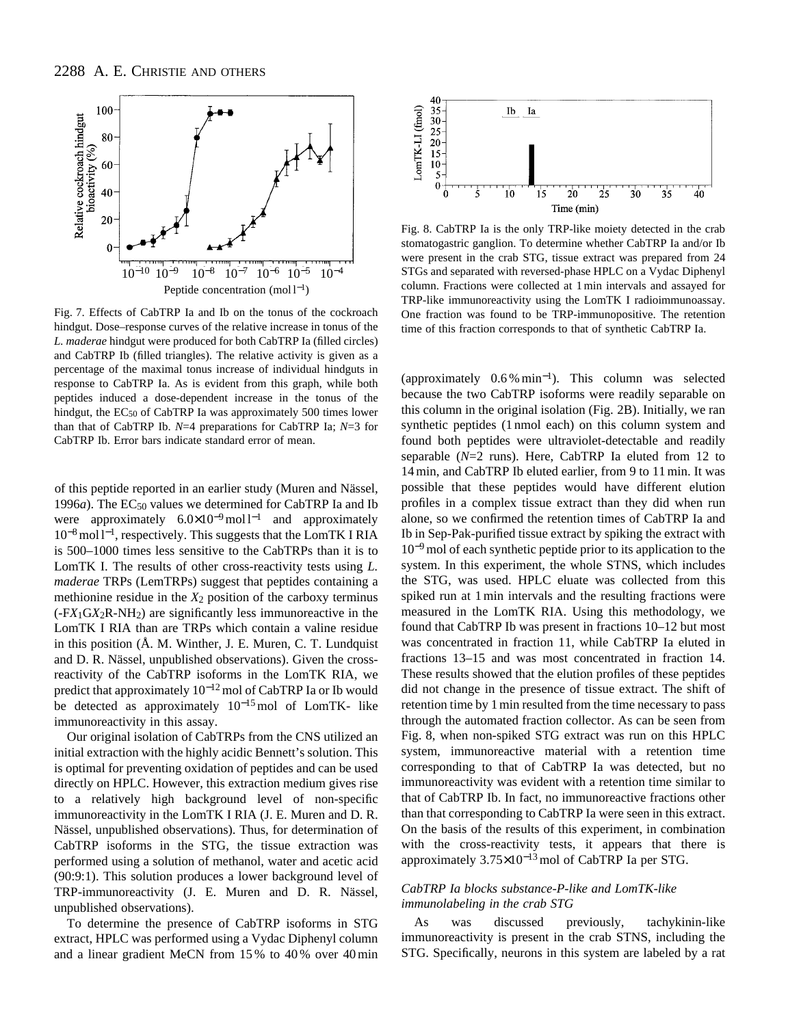

Fig. 7. Effects of CabTRP Ia and Ib on the tonus of the cockroach hindgut. Dose–response curves of the relative increase in tonus of the *L. maderae* hindgut were produced for both CabTRP Ia (filled circles) and CabTRP Ib (filled triangles). The relative activity is given as a percentage of the maximal tonus increase of individual hindguts in response to CabTRP Ia. As is evident from this graph, while both peptides induced a dose-dependent increase in the tonus of the hindgut, the EC50 of CabTRP Ia was approximately 500 times lower than that of CabTRP Ib. *N*=4 preparations for CabTRP Ia; *N*=3 for CabTRP Ib. Error bars indicate standard error of mean.

of this peptide reported in an earlier study (Muren and Nässel, 1996*a*). The EC<sub>50</sub> values we determined for CabTRP Ia and Ib were approximately  $6.0 \times 10^{-9}$  mol l<sup>-1</sup> and approximately 10<sup>−</sup>8mol l <sup>−</sup>1, respectively. This suggests that the LomTK I RIA is 500–1000 times less sensitive to the CabTRPs than it is to LomTK I. The results of other cross-reactivity tests using *L. maderae* TRPs (LemTRPs) suggest that peptides containing a methionine residue in the  $X_2$  position of the carboxy terminus (-F*X*1G*X*2R-NH2) are significantly less immunoreactive in the LomTK I RIA than are TRPs which contain a valine residue in this position (Å. M. Winther, J. E. Muren, C. T. Lundquist and D. R. Nässel, unpublished observations). Given the crossreactivity of the CabTRP isoforms in the LomTK RIA, we predict that approximately 10<sup>-12</sup> mol of CabTRP Ia or Ib would be detected as approximately 10<sup>−</sup>15mol of LomTK- like immunoreactivity in this assay.

Our original isolation of CabTRPs from the CNS utilized an initial extraction with the highly acidic Bennett's solution. This is optimal for preventing oxidation of peptides and can be used directly on HPLC. However, this extraction medium gives rise to a relatively high background level of non-specific immunoreactivity in the LomTK I RIA (J. E. Muren and D. R. Nässel, unpublished observations). Thus, for determination of CabTRP isoforms in the STG, the tissue extraction was performed using a solution of methanol, water and acetic acid (90:9:1). This solution produces a lower background level of TRP-immunoreactivity (J. E. Muren and D. R. Nässel, unpublished observations).

To determine the presence of CabTRP isoforms in STG extract, HPLC was performed using a Vydac Diphenyl column and a linear gradient MeCN from 15 % to 40 % over 40min



Fig. 8. CabTRP Ia is the only TRP-like moiety detected in the crab stomatogastric ganglion. To determine whether CabTRP Ia and/or Ib were present in the crab STG, tissue extract was prepared from 24 STGs and separated with reversed-phase HPLC on a Vydac Diphenyl column. Fractions were collected at 1min intervals and assayed for TRP-like immunoreactivity using the LomTK I radioimmunoassay. One fraction was found to be TRP-immunopositive. The retention time of this fraction corresponds to that of synthetic CabTRP Ia.

(approximately 0.6 % min<sup>−</sup>1). This column was selected because the two CabTRP isoforms were readily separable on this column in the original isolation (Fig. 2B). Initially, we ran synthetic peptides (1 nmol each) on this column system and found both peptides were ultraviolet-detectable and readily separable (*N*=2 runs). Here, CabTRP Ia eluted from 12 to 14min, and CabTRP Ib eluted earlier, from 9 to 11min. It was possible that these peptides would have different elution profiles in a complex tissue extract than they did when run alone, so we confirmed the retention times of CabTRP Ia and Ib in Sep-Pak-purified tissue extract by spiking the extract with 10<sup>−</sup>9mol of each synthetic peptide prior to its application to the system. In this experiment, the whole STNS, which includes the STG, was used. HPLC eluate was collected from this spiked run at 1min intervals and the resulting fractions were measured in the LomTK RIA. Using this methodology, we found that CabTRP Ib was present in fractions 10–12 but most was concentrated in fraction 11, while CabTRP Ia eluted in fractions 13–15 and was most concentrated in fraction 14. These results showed that the elution profiles of these peptides did not change in the presence of tissue extract. The shift of retention time by 1min resulted from the time necessary to pass through the automated fraction collector. As can be seen from Fig. 8, when non-spiked STG extract was run on this HPLC system, immunoreactive material with a retention time corresponding to that of CabTRP Ia was detected, but no immunoreactivity was evident with a retention time similar to that of CabTRP Ib. In fact, no immunoreactive fractions other than that corresponding to CabTRP Ia were seen in this extract. On the basis of the results of this experiment, in combination with the cross-reactivity tests, it appears that there is approximately 3.75×10<sup>−</sup>13mol of CabTRP Ia per STG.

### *CabTRP Ia blocks substance-P-like and LomTK-like immunolabeling in the crab STG*

As was discussed previously, tachykinin-like immunoreactivity is present in the crab STNS, including the STG. Specifically, neurons in this system are labeled by a rat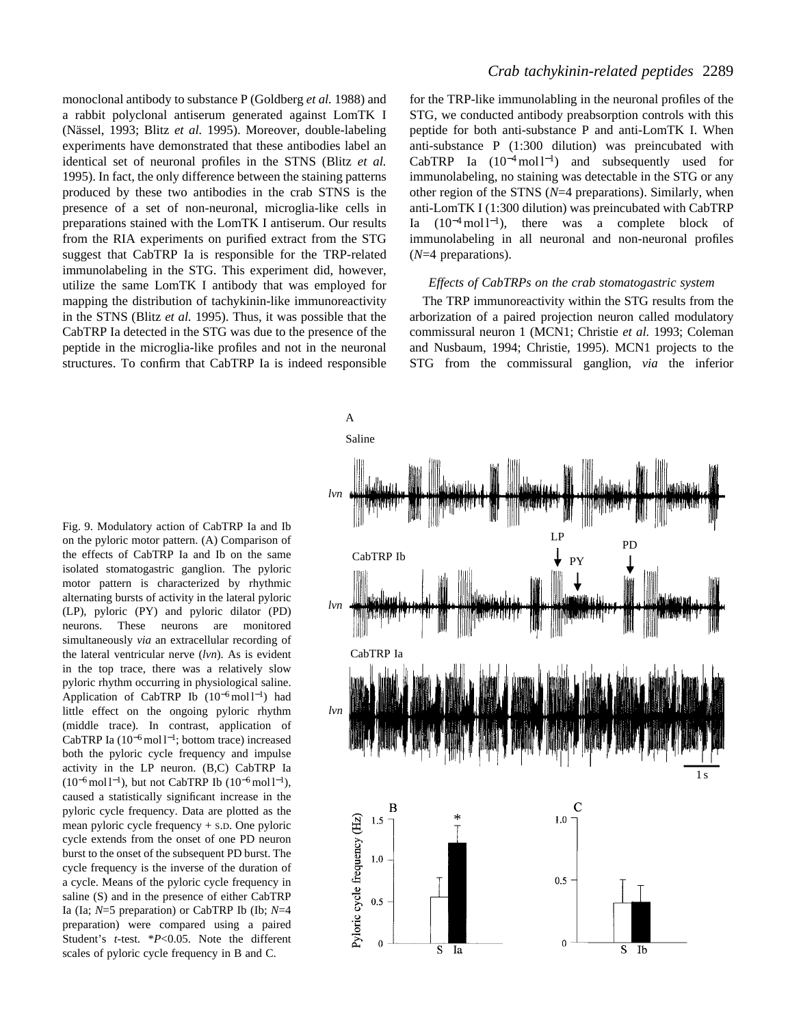monoclonal antibody to substance P (Goldberg *et al.* 1988) and a rabbit polyclonal antiserum generated against LomTK I (Nässel, 1993; Blitz *et al.* 1995). Moreover, double-labeling experiments have demonstrated that these antibodies label an identical set of neuronal profiles in the STNS (Blitz *et al.* 1995). In fact, the only difference between the staining patterns produced by these two antibodies in the crab STNS is the presence of a set of non-neuronal, microglia-like cells in preparations stained with the LomTK I antiserum. Our results from the RIA experiments on purified extract from the STG suggest that CabTRP Ia is responsible for the TRP-related immunolabeling in the STG. This experiment did, however, utilize the same LomTK I antibody that was employed for mapping the distribution of tachykinin-like immunoreactivity in the STNS (Blitz *et al.* 1995). Thus, it was possible that the CabTRP Ia detected in the STG was due to the presence of the peptide in the microglia-like profiles and not in the neuronal structures. To confirm that CabTRP Ia is indeed responsible

### *Crab tachykinin-related peptides* 2289

for the TRP-like immunolabling in the neuronal profiles of the STG, we conducted antibody preabsorption controls with this peptide for both anti-substance P and anti-LomTK I. When anti-substance P (1:300 dilution) was preincubated with CabTRP Ia  $(10^{-4} \text{ mol } l^{-1})$  and subsequently used for immunolabeling, no staining was detectable in the STG or any other region of the STNS (*N*=4 preparations). Similarly, when anti-LomTK I (1:300 dilution) was preincubated with CabTRP Ia  $(10^{-4} \text{ mol } l^{-1})$ , there was a complete block of immunolabeling in all neuronal and non-neuronal profiles (*N*=4 preparations).

### *Effects of CabTRPs on the crab stomatogastric system*

The TRP immunoreactivity within the STG results from the arborization of a paired projection neuron called modulatory commissural neuron 1 (MCN1; Christie *et al.* 1993; Coleman and Nusbaum, 1994; Christie, 1995). MCN1 projects to the STG from the commissural ganglion, *via* the inferior

Fig. 9. Modulatory action of CabTRP Ia and Ib on the pyloric motor pattern. (A) Comparison of the effects of CabTRP Ia and Ib on the same isolated stomatogastric ganglion. The pyloric motor pattern is characterized by rhythmic alternating bursts of activity in the lateral pyloric (LP), pyloric (PY) and pyloric dilator (PD) neurons. These neurons are monitored simultaneously *via* an extracellular recording of the lateral ventricular nerve (*lvn*). As is evident in the top trace, there was a relatively slow pyloric rhythm occurring in physiological saline. Application of CabTRP Ib (10<sup>-6</sup>mol l<sup>-1</sup>) had little effect on the ongoing pyloric rhythm (middle trace). In contrast, application of CabTRP Ia  $(10^{-6}$  mol l<sup>-1</sup>; bottom trace) increased both the pyloric cycle frequency and impulse activity in the LP neuron. (B,C) CabTRP Ia  $(10^{-6} \text{ mol } l^{-1})$ , but not CabTRP Ib  $(10^{-6} \text{ mol } l^{-1})$ , caused a statistically significant increase in the pyloric cycle frequency. Data are plotted as the mean pyloric cycle frequency + S.D. One pyloric cycle extends from the onset of one PD neuron burst to the onset of the subsequent PD burst. The cycle frequency is the inverse of the duration of a cycle. Means of the pyloric cycle frequency in saline (S) and in the presence of either CabTRP Ia (Ia; *N*=5 preparation) or CabTRP Ib (Ib; *N*=4 preparation) were compared using a paired Student's *t*-test. \**P*<0.05. Note the different scales of pyloric cycle frequency in B and C.

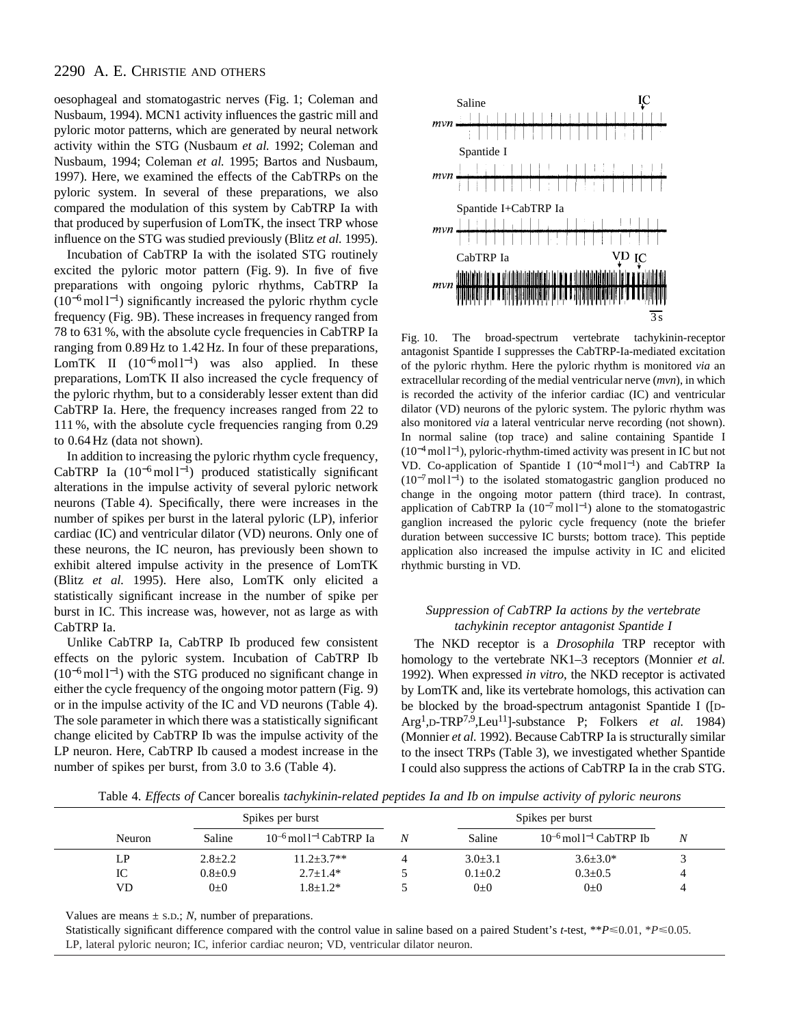oesophageal and stomatogastric nerves (Fig. 1; Coleman and Nusbaum, 1994). MCN1 activity influences the gastric mill and pyloric motor patterns, which are generated by neural network activity within the STG (Nusbaum *et al.* 1992; Coleman and Nusbaum, 1994; Coleman *et al.* 1995; Bartos and Nusbaum, 1997). Here, we examined the effects of the CabTRPs on the pyloric system. In several of these preparations, we also compared the modulation of this system by CabTRP Ia with that produced by superfusion of LomTK, the insect TRP whose influence on the STG was studied previously (Blitz *et al.* 1995).

Incubation of CabTRP Ia with the isolated STG routinely excited the pyloric motor pattern (Fig. 9). In five of five preparations with ongoing pyloric rhythms, CabTRP Ia (10<sup>-6</sup> mol l<sup>-1</sup>) significantly increased the pyloric rhythm cycle frequency (Fig. 9B). These increases in frequency ranged from 78 to 631 %, with the absolute cycle frequencies in CabTRP Ia ranging from 0.89 Hz to 1.42 Hz. In four of these preparations, LomTK II  $(10^{-6} \text{mol}^{-1})$  was also applied. In these preparations, LomTK II also increased the cycle frequency of the pyloric rhythm, but to a considerably lesser extent than did CabTRP Ia. Here, the frequency increases ranged from 22 to 111 %, with the absolute cycle frequencies ranging from 0.29 to 0.64 Hz (data not shown).

In addition to increasing the pyloric rhythm cycle frequency, CabTRP Ia (10<sup>-6</sup>mol l<sup>-1</sup>) produced statistically significant alterations in the impulse activity of several pyloric network neurons (Table 4). Specifically, there were increases in the number of spikes per burst in the lateral pyloric (LP), inferior cardiac (IC) and ventricular dilator (VD) neurons. Only one of these neurons, the IC neuron, has previously been shown to exhibit altered impulse activity in the presence of LomTK (Blitz *et al.* 1995). Here also, LomTK only elicited a statistically significant increase in the number of spike per burst in IC. This increase was, however, not as large as with CabTRP Ia.

Unlike CabTRP Ia, CabTRP Ib produced few consistent effects on the pyloric system. Incubation of CabTRP Ib  $(10^{-6} \text{ mol } l^{-1})$  with the STG produced no significant change in either the cycle frequency of the ongoing motor pattern (Fig. 9) or in the impulse activity of the IC and VD neurons (Table 4). The sole parameter in which there was a statistically significant change elicited by CabTRP Ib was the impulse activity of the LP neuron. Here, CabTRP Ib caused a modest increase in the number of spikes per burst, from 3.0 to 3.6 (Table 4).



Fig. 10. The broad-spectrum vertebrate tachykinin-receptor antagonist Spantide I suppresses the CabTRP-Ia-mediated excitation of the pyloric rhythm. Here the pyloric rhythm is monitored *via* an extracellular recording of the medial ventricular nerve (*mvn*), in which is recorded the activity of the inferior cardiac (IC) and ventricular dilator (VD) neurons of the pyloric system. The pyloric rhythm was also monitored *via* a lateral ventricular nerve recording (not shown). In normal saline (top trace) and saline containing Spantide I  $(10^{-4} \text{ mol } l^{-1})$ , pyloric-rhythm-timed activity was present in IC but not VD. Co-application of Spantide I (10<sup>-4</sup> mol l<sup>-1</sup>) and CabTRP Ia (10<sup>-7</sup> mol l<sup>-1</sup>) to the isolated stomatogastric ganglion produced no change in the ongoing motor pattern (third trace). In contrast, application of CabTRP Ia  $(10^{-7} \text{ mol } l^{-1})$  alone to the stomatogastric ganglion increased the pyloric cycle frequency (note the briefer duration between successive IC bursts; bottom trace). This peptide application also increased the impulse activity in IC and elicited rhythmic bursting in VD.

### *Suppression of CabTRP Ia actions by the vertebrate tachykinin receptor antagonist Spantide I*

The NKD receptor is a *Drosophila* TRP receptor with homology to the vertebrate NK1–3 receptors (Monnier *et al.* 1992). When expressed *in vitro*, the NKD receptor is activated by LomTK and, like its vertebrate homologs, this activation can be blocked by the broad-spectrum antagonist Spantide I ([D-Arg1,D-TRP7,9,Leu11]-substance P; Folkers *et al.* 1984) (Monnier *et al.* 1992). Because CabTRP Ia is structurally similar to the insect TRPs (Table 3), we investigated whether Spantide I could also suppress the actions of CabTRP Ia in the crab STG.

Table 4. *Effects of* Cancer borealis *tachykinin-related peptides Ia and Ib on impulse activity of pyloric neurons*

|        | Spikes per burst |                                         |   | Spikes per burst |                                  |   |
|--------|------------------|-----------------------------------------|---|------------------|----------------------------------|---|
| Neuron | Saline           | $10^{-6}$ mol l <sup>-1</sup> CabTRP Ia | N | Saline           | $10^{-6}$ mol $1^{-1}$ CabTRP Ib | Ν |
| LP.    | $2.8 \pm 2.2$    | $11.2 + 3.7**$                          |   | $3.0 \pm 3.1$    | $3.6 \pm 3.0^*$                  |   |
| IC     | $0.8 \pm 0.9$    | $2.7 \pm 1.4*$                          |   | $0.1 \pm 0.2$    | $0.3 \pm 0.5$                    |   |
| VD     | $0\pm 0$         | $1.8 + 1.2*$                            |   | $0\pm 0$         | $0\pm 0$                         |   |

Values are means  $\pm$  s.D.; *N*, number of preparations.

Statistically significant difference compared with the control value in saline based on a paired Student's *t*-test, \*\**P*<0.01, \**P*<0.05. LP, lateral pyloric neuron; IC, inferior cardiac neuron; VD, ventricular dilator neuron.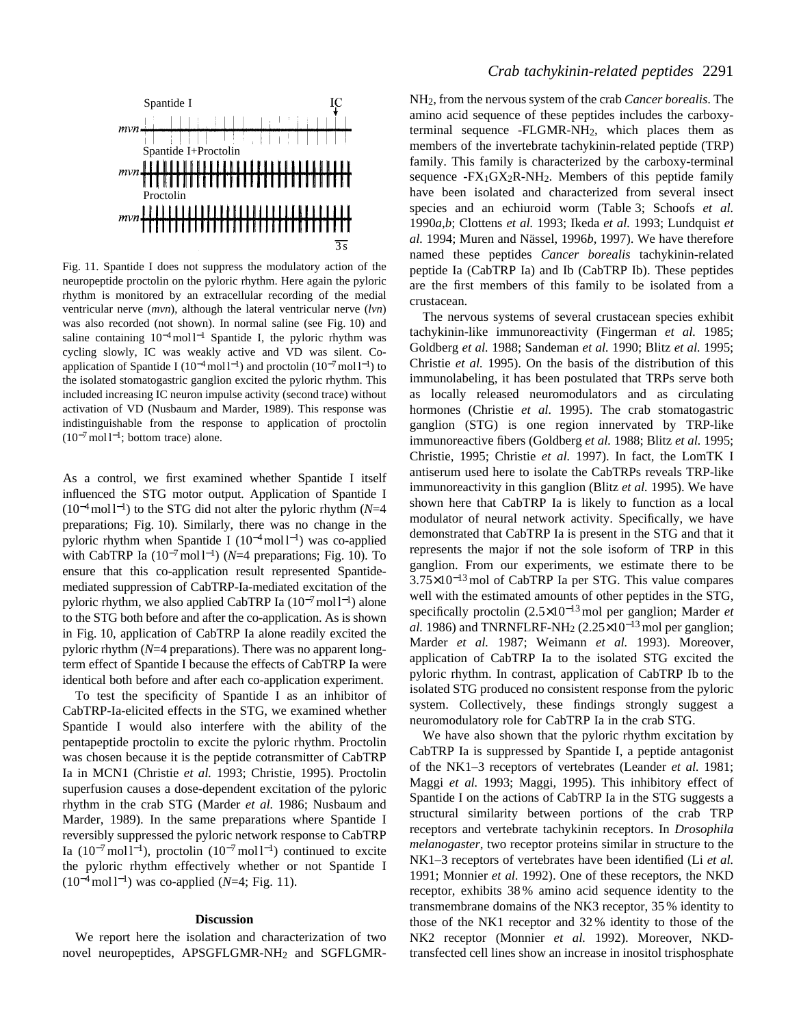

Fig. 11. Spantide I does not suppress the modulatory action of the neuropeptide proctolin on the pyloric rhythm. Here again the pyloric rhythm is monitored by an extracellular recording of the medial ventricular nerve (*mvn*), although the lateral ventricular nerve (*lvn*) was also recorded (not shown). In normal saline (see Fig. 10) and saline containing 10<sup>-4</sup>mol l<sup>-1</sup> Spantide I, the pyloric rhythm was cycling slowly, IC was weakly active and VD was silent. Coapplication of Spantide I ( $10^{-4}$  mol l<sup>-1</sup>) and proctolin ( $10^{-7}$  mol l<sup>-1</sup>) to the isolated stomatogastric ganglion excited the pyloric rhythm. This included increasing IC neuron impulse activity (second trace) without activation of VD (Nusbaum and Marder, 1989). This response was indistinguishable from the response to application of proctolin  $(10^{-7} \,\mathrm{mol}\, \mathrm{l}^{-1})$ ; bottom trace) alone.

As a control, we first examined whether Spantide I itself influenced the STG motor output. Application of Spantide I (10<sup>−</sup>4moll <sup>−</sup>1) to the STG did not alter the pyloric rhythm (*N*=4 preparations; Fig. 10). Similarly, there was no change in the pyloric rhythm when Spantide I ( $10^{-4}$  moll<sup>-1</sup>) was co-applied with CabTRP Ia (10<sup>-7</sup> mol1<sup>-1</sup>) (*N*=4 preparations; Fig. 10). To ensure that this co-application result represented Spantidemediated suppression of CabTRP-Ia-mediated excitation of the pyloric rhythm, we also applied CabTRP Ia  $(10^{-7} \text{mol}^{-1})$  alone to the STG both before and after the co-application. As is shown in Fig. 10, application of CabTRP Ia alone readily excited the pyloric rhythm (*N*=4 preparations). There was no apparent longterm effect of Spantide I because the effects of CabTRP Ia were identical both before and after each co-application experiment.

To test the specificity of Spantide I as an inhibitor of CabTRP-Ia-elicited effects in the STG, we examined whether Spantide I would also interfere with the ability of the pentapeptide proctolin to excite the pyloric rhythm. Proctolin was chosen because it is the peptide cotransmitter of CabTRP Ia in MCN1 (Christie *et al.* 1993; Christie, 1995). Proctolin superfusion causes a dose-dependent excitation of the pyloric rhythm in the crab STG (Marder *et al.* 1986; Nusbaum and Marder, 1989). In the same preparations where Spantide I reversibly suppressed the pyloric network response to CabTRP Ia (10<sup>-7</sup> mol l<sup>-1</sup>), proctolin (10<sup>-7</sup> mol l<sup>-1</sup>) continued to excite the pyloric rhythm effectively whether or not Spantide I (10<sup>−</sup>4mol l <sup>−</sup>1) was co-applied (*N*=4; Fig. 11).

#### **Discussion**

We report here the isolation and characterization of two novel neuropeptides, APSGFLGMR-NH2 and SGFLGMR-

### *Crab tachykinin-related peptides* 2291

NH2, from the nervous system of the crab *Cancer borealis*. The amino acid sequence of these peptides includes the carboxyterminal sequence -FLGMR-NH2, which places them as members of the invertebrate tachykinin-related peptide (TRP) family. This family is characterized by the carboxy-terminal sequence  $-FX_1GX_2R-NH_2$ . Members of this peptide family have been isolated and characterized from several insect species and an echiuroid worm (Table 3; Schoofs *et al.* 1990*a*,*b*; Clottens *et al.* 1993; Ikeda *et al.* 1993; Lundquist *et al.* 1994; Muren and Nässel, 1996*b*, 1997). We have therefore named these peptides *Cancer borealis* tachykinin-related peptide Ia (CabTRP Ia) and Ib (CabTRP Ib). These peptides are the first members of this family to be isolated from a crustacean.

The nervous systems of several crustacean species exhibit tachykinin-like immunoreactivity (Fingerman *et al.* 1985; Goldberg *et al.* 1988; Sandeman *et al.* 1990; Blitz *et al.* 1995; Christie *et al.* 1995). On the basis of the distribution of this immunolabeling, it has been postulated that TRPs serve both as locally released neuromodulators and as circulating hormones (Christie *et al.* 1995). The crab stomatogastric ganglion (STG) is one region innervated by TRP-like immunoreactive fibers (Goldberg *et al.* 1988; Blitz *et al.* 1995; Christie, 1995; Christie *et al.* 1997). In fact, the LomTK I antiserum used here to isolate the CabTRPs reveals TRP-like immunoreactivity in this ganglion (Blitz *et al.* 1995). We have shown here that CabTRP Ia is likely to function as a local modulator of neural network activity. Specifically, we have demonstrated that CabTRP Ia is present in the STG and that it represents the major if not the sole isoform of TRP in this ganglion. From our experiments, we estimate there to be 3.75×10<sup>−</sup>13mol of CabTRP Ia per STG. This value compares well with the estimated amounts of other peptides in the STG, specifically proctolin (2.5×10<sup>−</sup>13mol per ganglion; Marder *et al.* 1986) and TNRNFLRF-NH<sub>2</sub> (2.25×10<sup>-13</sup> mol per ganglion; Marder *et al.* 1987; Weimann *et al.* 1993). Moreover, application of CabTRP Ia to the isolated STG excited the pyloric rhythm. In contrast, application of CabTRP Ib to the isolated STG produced no consistent response from the pyloric system. Collectively, these findings strongly suggest a neuromodulatory role for CabTRP Ia in the crab STG.

We have also shown that the pyloric rhythm excitation by CabTRP Ia is suppressed by Spantide I, a peptide antagonist of the NK1–3 receptors of vertebrates (Leander *et al.* 1981; Maggi *et al.* 1993; Maggi, 1995). This inhibitory effect of Spantide I on the actions of CabTRP Ia in the STG suggests a structural similarity between portions of the crab TRP receptors and vertebrate tachykinin receptors. In *Drosophila melanogaster*, two receptor proteins similar in structure to the NK1–3 receptors of vertebrates have been identified (Li *et al.* 1991; Monnier *et al.* 1992). One of these receptors, the NKD receptor, exhibits 38 % amino acid sequence identity to the transmembrane domains of the NK3 receptor, 35 % identity to those of the NK1 receptor and 32 % identity to those of the NK2 receptor (Monnier *et al.* 1992). Moreover, NKDtransfected cell lines show an increase in inositol trisphosphate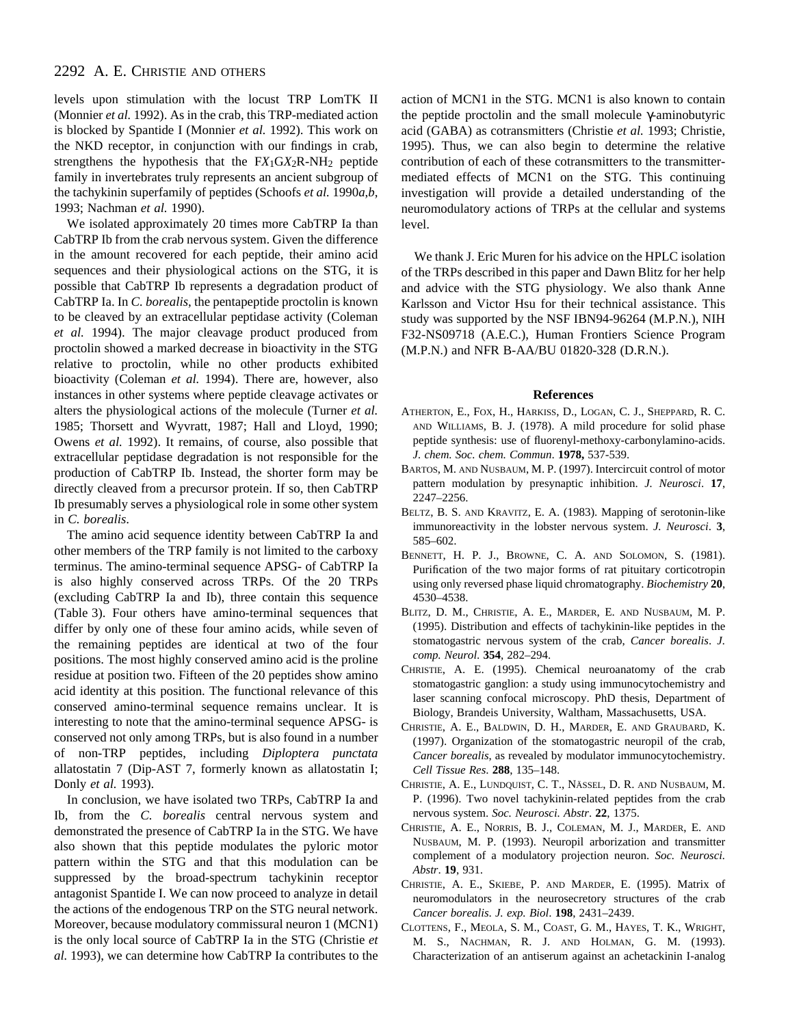levels upon stimulation with the locust TRP LomTK II (Monnier *et al.* 1992). As in the crab, this TRP-mediated action is blocked by Spantide I (Monnier *et al.* 1992). This work on the NKD receptor, in conjunction with our findings in crab, strengthens the hypothesis that the F*X*1G*X*2R-NH2 peptide family in invertebrates truly represents an ancient subgroup of the tachykinin superfamily of peptides (Schoofs *et al.* 1990*a*,*b*, 1993; Nachman *et al.* 1990).

We isolated approximately 20 times more CabTRP Ia than CabTRP Ib from the crab nervous system. Given the difference in the amount recovered for each peptide, their amino acid sequences and their physiological actions on the STG, it is possible that CabTRP Ib represents a degradation product of CabTRP Ia. In *C. borealis*, the pentapeptide proctolin is known to be cleaved by an extracellular peptidase activity (Coleman *et al.* 1994). The major cleavage product produced from proctolin showed a marked decrease in bioactivity in the STG relative to proctolin, while no other products exhibited bioactivity (Coleman *et al.* 1994). There are, however, also instances in other systems where peptide cleavage activates or alters the physiological actions of the molecule (Turner *et al.* 1985; Thorsett and Wyvratt, 1987; Hall and Lloyd, 1990; Owens *et al.* 1992). It remains, of course, also possible that extracellular peptidase degradation is not responsible for the production of CabTRP Ib. Instead, the shorter form may be directly cleaved from a precursor protein. If so, then CabTRP Ib presumably serves a physiological role in some other system in *C. borealis*.

The amino acid sequence identity between CabTRP Ia and other members of the TRP family is not limited to the carboxy terminus. The amino-terminal sequence APSG- of CabTRP Ia is also highly conserved across TRPs. Of the 20 TRPs (excluding CabTRP Ia and Ib), three contain this sequence (Table 3). Four others have amino-terminal sequences that differ by only one of these four amino acids, while seven of the remaining peptides are identical at two of the four positions. The most highly conserved amino acid is the proline residue at position two. Fifteen of the 20 peptides show amino acid identity at this position. The functional relevance of this conserved amino-terminal sequence remains unclear. It is interesting to note that the amino-terminal sequence APSG- is conserved not only among TRPs, but is also found in a number of non-TRP peptides, including *Diploptera punctata* allatostatin 7 (Dip-AST 7, formerly known as allatostatin I; Donly *et al.* 1993).

In conclusion, we have isolated two TRPs, CabTRP Ia and Ib, from the *C. borealis* central nervous system and demonstrated the presence of CabTRP Ia in the STG. We have also shown that this peptide modulates the pyloric motor pattern within the STG and that this modulation can be suppressed by the broad-spectrum tachykinin receptor antagonist Spantide I. We can now proceed to analyze in detail the actions of the endogenous TRP on the STG neural network. Moreover, because modulatory commissural neuron 1 (MCN1) is the only local source of CabTRP Ia in the STG (Christie *et al.* 1993), we can determine how CabTRP Ia contributes to the

action of MCN1 in the STG. MCN1 is also known to contain the peptide proctolin and the small molecule γ-aminobutyric acid (GABA) as cotransmitters (Christie *et al.* 1993; Christie, 1995). Thus, we can also begin to determine the relative contribution of each of these cotransmitters to the transmittermediated effects of MCN1 on the STG. This continuing investigation will provide a detailed understanding of the neuromodulatory actions of TRPs at the cellular and systems level.

We thank J. Eric Muren for his advice on the HPLC isolation of the TRPs described in this paper and Dawn Blitz for her help and advice with the STG physiology. We also thank Anne Karlsson and Victor Hsu for their technical assistance. This study was supported by the NSF IBN94-96264 (M.P.N.), NIH F32-NS09718 (A.E.C.), Human Frontiers Science Program (M.P.N.) and NFR B-AA/BU 01820-328 (D.R.N.).

#### **References**

- ATHERTON, E., FOX, H., HARKISS, D., LOGAN, C. J., SHEPPARD, R. C. AND WILLIAMS, B. J. (1978). A mild procedure for solid phase peptide synthesis: use of fluorenyl-methoxy-carbonylamino-acids. *J. chem. Soc. chem. Commun*. **1978,** 537-539.
- BARTOS, M. AND NUSBAUM, M. P. (1997). Intercircuit control of motor pattern modulation by presynaptic inhibition. *J. Neurosci*. **17**, 2247–2256.
- BELTZ, B. S. AND KRAVITZ, E. A. (1983). Mapping of serotonin-like immunoreactivity in the lobster nervous system. *J. Neurosci*. **3**, 585–602.
- BENNETT, H. P. J., BROWNE, C. A. AND SOLOMON, S. (1981). Purification of the two major forms of rat pituitary corticotropin using only reversed phase liquid chromatography. *Biochemistry* **20**, 4530–4538.
- BLITZ, D. M., CHRISTIE, A. E., MARDER, E. AND NUSBAUM, M. P. (1995). Distribution and effects of tachykinin-like peptides in the stomatogastric nervous system of the crab, *Cancer borealis*. *J. comp. Neurol*. **354**, 282–294.
- CHRISTIE, A. E. (1995). Chemical neuroanatomy of the crab stomatogastric ganglion: a study using immunocytochemistry and laser scanning confocal microscopy. PhD thesis, Department of Biology, Brandeis University, Waltham, Massachusetts, USA.
- CHRISTIE, A. E., BALDWIN, D. H., MARDER, E. AND GRAUBARD, K. (1997). Organization of the stomatogastric neuropil of the crab, *Cancer borealis*, as revealed by modulator immunocytochemistry. *Cell Tissue Res*. **288**, 135–148.
- CHRISTIE, A. E., LUNDQUIST, C. T., NÄSSEL, D. R. AND NUSBAUM, M. P. (1996). Two novel tachykinin-related peptides from the crab nervous system. *Soc. Neurosci. Abstr*. **22**, 1375.
- CHRISTIE, A. E., NORRIS, B. J., COLEMAN, M. J., MARDER, E. AND NUSBAUM, M. P. (1993). Neuropil arborization and transmitter complement of a modulatory projection neuron. *Soc. Neurosci. Abstr*. **19**, 931.
- CHRISTIE, A. E., SKIEBE, P. AND MARDER, E. (1995). Matrix of neuromodulators in the neurosecretory structures of the crab *Cancer borealis*. *J. exp. Biol*. **198**, 2431–2439.
- CLOTTENS, F., MEOLA, S. M., COAST, G. M., HAYES, T. K., WRIGHT, M. S., NACHMAN, R. J. AND HOLMAN, G. M. (1993). Characterization of an antiserum against an achetackinin I-analog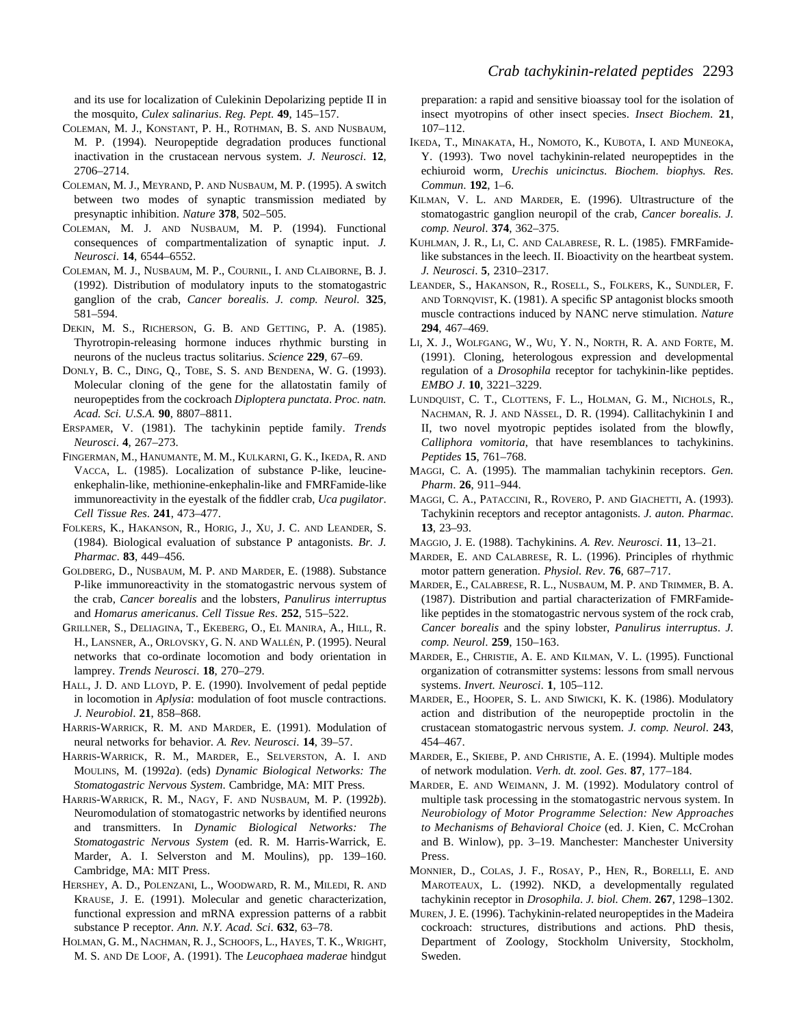and its use for localization of Culekinin Depolarizing peptide II in the mosquito, *Culex salinarius*. *Reg. Pept*. **49**, 145–157.

- COLEMAN, M. J., KONSTANT, P. H., ROTHMAN, B. S. AND NUSBAUM, M. P. (1994). Neuropeptide degradation produces functional inactivation in the crustacean nervous system. *J. Neurosci*. **12**, 2706–2714.
- COLEMAN, M. J., MEYRAND, P. AND NUSBAUM, M. P. (1995). A switch between two modes of synaptic transmission mediated by presynaptic inhibition. *Nature* **378**, 502–505.
- COLEMAN, M. J. AND NUSBAUM, M. P. (1994). Functional consequences of compartmentalization of synaptic input. *J. Neurosci*. **14**, 6544–6552.
- COLEMAN, M. J., NUSBAUM, M. P., COURNIL, I. AND CLAIBORNE, B. J. (1992). Distribution of modulatory inputs to the stomatogastric ganglion of the crab, *Cancer borealis*. *J. comp. Neurol*. **325**, 581–594.
- DEKIN, M. S., RICHERSON, G. B. AND GETTING, P. A. (1985). Thyrotropin-releasing hormone induces rhythmic bursting in neurons of the nucleus tractus solitarius. *Science* **229**, 67–69.
- DONLY, B. C., DING, Q., TOBE, S. S. AND BENDENA, W. G. (1993). Molecular cloning of the gene for the allatostatin family of neuropeptides from the cockroach *Diploptera punctata*. *Proc. natn. Acad. Sci. U.S.A.* **90**, 8807–8811.
- ERSPAMER, V. (1981). The tachykinin peptide family. *Trends Neurosci*. **4**, 267–273.
- FINGERMAN, M., HANUMANTE, M. M., KULKARNI, G. K., IKEDA, R. AND VACCA, L. (1985). Localization of substance P-like, leucineenkephalin-like, methionine-enkephalin-like and FMRFamide-like immunoreactivity in the eyestalk of the fiddler crab, *Uca pugilator*. *Cell Tissue Res*. **241**, 473–477.
- FOLKERS, K., HAKANSON, R., HORIG, J., XU, J. C. AND LEANDER, S. (1984). Biological evaluation of substance P antagonists. *Br. J. Pharmac*. **83**, 449–456.
- GOLDBERG, D., NUSBAUM, M. P. AND MARDER, E. (1988). Substance P-like immunoreactivity in the stomatogastric nervous system of the crab, *Cancer borealis* and the lobsters, *Panulirus interruptus* and *Homarus americanus*. *Cell Tissue Res*. **252**, 515–522.
- GRILLNER, S., DELIAGINA, T., EKEBERG, O., EL MANIRA, A., HILL, R. H., LANSNER, A., ORLOVSKY, G. N. AND WALLÉN, P. (1995). Neural networks that co-ordinate locomotion and body orientation in lamprey. *Trends Neurosci*. **18**, 270–279.
- HALL, J. D. AND LLOYD, P. E. (1990). Involvement of pedal peptide in locomotion in *Aplysia*: modulation of foot muscle contractions. *J. Neurobiol*. **21**, 858–868.
- HARRIS-WARRICK, R. M. AND MARDER, E. (1991). Modulation of neural networks for behavior. *A. Rev. Neurosci*. **14**, 39–57.
- HARRIS-WARRICK, R. M., MARDER, E., SELVERSTON, A. I. AND MOULINS, M. (1992*a*). (eds) *Dynamic Biological Networks: The Stomatogastric Nervous System*. Cambridge, MA: MIT Press.
- HARRIS-WARRICK, R. M., NAGY, F. AND NUSBAUM, M. P. (1992*b*). Neuromodulation of stomatogastric networks by identified neurons and transmitters. In *Dynamic Biological Networks: The Stomatogastric Nervous System* (ed. R. M. Harris-Warrick, E. Marder, A. I. Selverston and M. Moulins), pp. 139–160. Cambridge, MA: MIT Press.
- HERSHEY, A. D., POLENZANI, L., WOODWARD, R. M., MILEDI, R. AND KRAUSE, J. E. (1991). Molecular and genetic characterization, functional expression and mRNA expression patterns of a rabbit substance P receptor. *Ann. N.Y. Acad. Sci*. **632**, 63–78.
- HOLMAN, G. M., NACHMAN, R. J., SCHOOFS, L., HAYES, T. K., WRIGHT, M. S. AND DE LOOF, A. (1991). The *Leucophaea maderae* hindgut

preparation: a rapid and sensitive bioassay tool for the isolation of insect myotropins of other insect species. *Insect Biochem*. **21**, 107–112.

- IKEDA, T., MINAKATA, H., NOMOTO, K., KUBOTA, I. AND MUNEOKA, Y. (1993). Two novel tachykinin-related neuropeptides in the echiuroid worm, *Urechis unicinctus*. *Biochem. biophys. Res. Commun*. **192**, 1–6.
- KILMAN, V. L. AND MARDER, E. (1996). Ultrastructure of the stomatogastric ganglion neuropil of the crab, *Cancer borealis*. *J. comp. Neurol*. **374**, 362–375.
- KUHLMAN, J. R., LI, C. AND CALABRESE, R. L. (1985). FMRFamidelike substances in the leech. II. Bioactivity on the heartbeat system. *J. Neurosci*. **5**, 2310–2317.
- LEANDER, S., HAKANSON, R., ROSELL, S., FOLKERS, K., SUNDLER, F. AND TORNQVIST, K. (1981). A specific SP antagonist blocks smooth muscle contractions induced by NANC nerve stimulation. *Nature* **294**, 467–469.
- LI, X. J., WOLFGANG, W., WU, Y. N., NORTH, R. A. AND FORTE, M. (1991). Cloning, heterologous expression and developmental regulation of a *Drosophila* receptor for tachykinin-like peptides. *EMBO J*. **10**, 3221–3229.
- LUNDQUIST, C. T., CLOTTENS, F. L., HOLMAN, G. M., NICHOLS, R., NACHMAN, R. J. AND NÄSSEL, D. R. (1994). Callitachykinin I and II, two novel myotropic peptides isolated from the blowfly, *Calliphora vomitoria*, that have resemblances to tachykinins. *Peptides* **15**, 761–768.
- MAGGI, C. A. (1995). The mammalian tachykinin receptors. *Gen. Pharm*. **26**, 911–944.
- MAGGI, C. A., PATACCINI, R., ROVERO, P. AND GIACHETTI, A. (1993). Tachykinin receptors and receptor antagonists. *J. auton. Pharmac*. **13**, 23–93.
- MAGGIO, J. E. (1988). Tachykinins. *A. Rev. Neurosci*. **11**, 13–21.
- MARDER, E. AND CALABRESE, R. L. (1996). Principles of rhythmic motor pattern generation. *Physiol. Rev*. **76**, 687–717.
- MARDER, E., CALABRESE, R. L., NUSBAUM, M. P. AND TRIMMER, B. A. (1987). Distribution and partial characterization of FMRFamidelike peptides in the stomatogastric nervous system of the rock crab, *Cancer borealis* and the spiny lobster, *Panulirus interruptus*. *J. comp. Neurol*. **259**, 150–163.
- MARDER, E., CHRISTIE, A. E. AND KILMAN, V. L. (1995). Functional organization of cotransmitter systems: lessons from small nervous systems. *Invert. Neurosci*. **1**, 105–112.
- MARDER, E., HOOPER, S. L. AND SIWICKI, K. K. (1986). Modulatory action and distribution of the neuropeptide proctolin in the crustacean stomatogastric nervous system. *J. comp. Neurol*. **243**, 454–467.
- MARDER, E., SKIEBE, P. AND CHRISTIE, A. E. (1994). Multiple modes of network modulation. *Verh. dt. zool. Ges*. **87**, 177–184.
- MARDER, E. AND WEIMANN, J. M. (1992). Modulatory control of multiple task processing in the stomatogastric nervous system. In *Neurobiology of Motor Programme Selection: New Approaches to Mechanisms of Behavioral Choice* (ed. J. Kien, C. McCrohan and B. Winlow), pp. 3–19. Manchester: Manchester University Press.
- MONNIER, D., COLAS, J. F., ROSAY, P., HEN, R., BORELLI, E. AND MAROTEAUX, L. (1992). NKD, a developmentally regulated tachykinin receptor in *Drosophila*. *J. biol. Chem*. **267**, 1298–1302.
- MUREN, J. E. (1996). Tachykinin-related neuropeptides in the Madeira cockroach: structures, distributions and actions. PhD thesis, Department of Zoology, Stockholm University, Stockholm, Sweden.